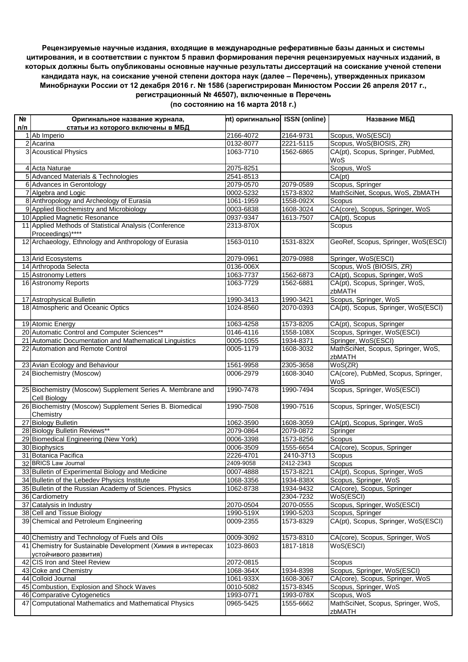## **Рецензируемые научные издания, входящие в международные реферативные базы данных и системы цитирования, и в соответствии с пунктом 5 правил формирования перечня рецензируемых научных изданий, в которых должны быть опубликованы основные научные результаты диссертаций на соискание ученой степени кандидата наук, на соискание ученой степени доктора наук (далее – Перечень), утвержденных приказом Минобрнауки России от 12 декабря 2016 г. № 1586 (зарегистрирован Минюстом России 26 апреля 2017 г., регистрационный № 46507), включенные в Перечень**

| (по состоянию на 16 марта 2018 г.) |  |
|------------------------------------|--|
|------------------------------------|--|

| Nº  | Оригинальное название журнала,                                             | nt) оригинально ISSN (online) |           | Название МБД                                 |
|-----|----------------------------------------------------------------------------|-------------------------------|-----------|----------------------------------------------|
| n/n | статьи из которого включены в МБД                                          |                               |           |                                              |
|     | 1 Ab Imperio                                                               | 2166-4072                     | 2164-9731 | Scopus, WoS(ESCI)                            |
|     | 2 Acarina                                                                  | 0132-8077                     | 2221-5115 | Scopus, WoS(BIOSIS, ZR)                      |
|     | 3 Acoustical Physics                                                       | 1063-7710                     | 1562-6865 | CA(pt), Scopus, Springer, PubMed,<br>WoS     |
|     | 4 Acta Naturae                                                             | 2075-8251                     |           | Scopus, WoS                                  |
|     | 5 Advanced Materials & Technologies                                        | 2541-8513                     |           | CA(pt)                                       |
|     | 6 Advances in Gerontology                                                  | 2079-0570                     | 2079-0589 | Scopus, Springer                             |
|     | 7 Algebra and Logic                                                        | 0002-5232                     | 1573-8302 | MathSciNet, Scopus, WoS, ZbMATH              |
|     | 8 Anthropology and Archeology of Eurasia                                   | 1061-1959                     | 1558-092X | Scopus                                       |
|     | 9 Applied Biochemistry and Microbiology                                    | 0003-6838                     | 1608-3024 | CA(core), Scopus, Springer, WoS              |
|     | 10 Applied Magnetic Resonance                                              | 0937-9347                     | 1613-7507 | CA(pt), Scopus                               |
|     | 11 Applied Methods of Statistical Analysis (Conference                     | 2313-870X                     |           | Scopus                                       |
|     | Proceedings)****                                                           |                               |           |                                              |
|     | 12 Archaeology, Ethnology and Anthropology of Eurasia                      | 1563-0110                     | 1531-832X | GeoRef, Scopus, Springer, WoS(ESCI)          |
|     | 13 Arid Ecosystems                                                         | 2079-0961                     | 2079-0988 | Springer, WoS(ESCI)                          |
|     | 14 Arthropoda Selecta                                                      | 0136-006X                     |           | Scopus, WoS (BIOSIS, ZR)                     |
|     | 15 Astronomy Letters                                                       | 1063-7737                     | 1562-6873 | CA(pt), Scopus, Springer, WoS                |
|     | 16 Astronomy Reports                                                       | 1063-7729                     | 1562-6881 | CA(pt), Scopus, Springer, WoS,<br>zbMATH     |
|     | 17 Astrophysical Bulletin                                                  | 1990-3413                     | 1990-3421 | Scopus, Springer, WoS                        |
|     | 18 Atmospheric and Oceanic Optics                                          | 1024-8560                     | 2070-0393 | CA(pt), Scopus, Springer, WoS(ESCI)          |
|     |                                                                            |                               |           |                                              |
|     | 19 Atomic Energy                                                           | 1063-4258                     | 1573-8205 | CA(pt), Scopus, Springer                     |
|     | 20 Automatic Control and Computer Sciences**                               | 0146-4116                     | 1558-108X | Scopus, Springer, WoS(ESCI)                  |
|     | 21 Automatic Documentation and Mathematical Linguistics                    | 0005-1055                     | 1934-8371 | Springer, WoS(ESCI)                          |
|     | 22 Automation and Remote Control                                           | 0005-1179                     | 1608-3032 | MathSciNet, Scopus, Springer, WoS,<br>zbMATH |
|     | 23 Avian Ecology and Behaviour                                             | 1561-9958                     | 2305-3658 | WoS(ZR)                                      |
|     | 24 Biochemistry (Moscow)                                                   | 0006-2979                     | 1608-3040 | CA(core), PubMed, Scopus, Springer,<br>WoS   |
|     | 25 Biochemistry (Moscow) Supplement Series A. Membrane and<br>Cell Biology | 1990-7478                     | 1990-7494 | Scopus, Springer, WoS(ESCI)                  |
|     | 26 Biochemistry (Moscow) Supplement Series B. Biomedical<br>Chemistry      | 1990-7508                     | 1990-7516 | Scopus, Springer, WoS(ESCI)                  |
|     | 27 Biology Bulletin                                                        | 1062-3590                     | 1608-3059 | CA(pt), Scopus, Springer, WoS                |
|     | 28 Biology Bulletin Reviews**                                              | 2079-0864                     | 2079-0872 | Springer                                     |
|     | 29 Biomedical Engineering (New York)                                       | 0006-3398                     | 1573-8256 | Scopus                                       |
|     | 30 Biophysics                                                              | 0006-3509                     | 1555-6654 | CA(core), Scopus, Springer                   |
|     | 31 Botanica Pacifica                                                       | 2226-4701                     | 2410-3713 | Scopus                                       |
|     | 32 BRICS Law Journal                                                       | 2409-9058                     | 2412-2343 | Scopus                                       |
|     | 33 Bulletin of Experimental Biology and Medicine                           | 0007-4888                     | 1573-8221 | CA(pt), Scopus, Springer, WoS                |
|     | 34 Bulletin of the Lebedev Physics Institute                               | 1068-3356                     | 1934-838X | Scopus, Springer, WoS                        |
|     | 35 Bulletin of the Russian Academy of Sciences. Physics                    | 1062-8738                     | 1934-9432 | CA(core), Scopus, Springer                   |
|     | 36 Cardiometry                                                             |                               | 2304-7232 | WoS(ESCI)                                    |
|     | 37 Catalysis in Industry                                                   | 2070-0504                     | 2070-0555 | Scopus, Springer, WoS(ESCI)                  |
|     | 38 Cell and Tissue Biology                                                 | 1990-519X                     | 1990-5203 | Scopus, Springer                             |
|     | 39 Chemical and Petroleum Engineering                                      | 0009-2355                     | 1573-8329 | CA(pt), Scopus, Springer, WoS(ESCI)          |
|     | 40 Chemistry and Technology of Fuels and Oils                              | 0009-3092                     | 1573-8310 | CA(core), Scopus, Springer, WoS              |
|     | 41 Chemistry for Sustainable Development (Химия в интересах                | 1023-8603                     | 1817-1818 | WoS(ESCI)                                    |
|     | устойчивого развития)                                                      |                               |           |                                              |
|     | 42 CIS Iron and Steel Review                                               | 2072-0815                     |           | Scopus                                       |
|     | 43 Coke and Chemistry                                                      | 1068-364X                     | 1934-8398 | Scopus, Springer, WoS(ESCI)                  |
|     | 44 Colloid Journal                                                         | 1061-933X                     | 1608-3067 | CA(core), Scopus, Springer, WoS              |
|     | 45 Combustion, Explosion and Shock Waves                                   | 0010-5082                     | 1573-8345 | Scopus, Springer, WoS                        |
|     | 46 Comparative Cytogenetics                                                | 1993-0771                     | 1993-078X | Scopus, WoS                                  |
|     | 47 Computational Mathematics and Mathematical Physics                      | 0965-5425                     | 1555-6662 | MathSciNet, Scopus, Springer, WoS,           |
|     |                                                                            |                               |           | zbMATH                                       |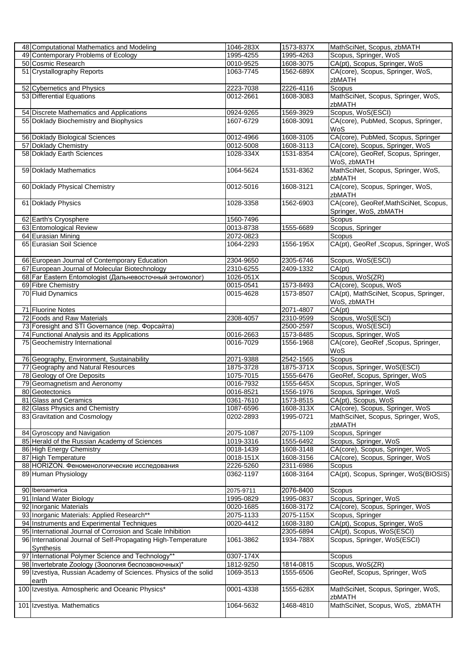| 48 Computational Mathematics and Modeling                                   | 1046-283X              | 1573-837X              | MathSciNet, Scopus, zbMATH                               |
|-----------------------------------------------------------------------------|------------------------|------------------------|----------------------------------------------------------|
| 49 Contemporary Problems of Ecology                                         | 1995-4255              | 1995-4263              | Scopus, Springer, WoS                                    |
| 50 Cosmic Research                                                          | 0010-9525              | 1608-3075              | CA(pt), Scopus, Springer, WoS                            |
| 51 Crystallography Reports                                                  | 1063-7745              | 1562-689X              | CA(core), Scopus, Springer, WoS,                         |
|                                                                             |                        |                        | zbMATH                                                   |
| 52 Cybernetics and Physics                                                  | 2223-7038              | 2226-4116              | Scopus                                                   |
| 53 Differential Equations                                                   | 0012-2661              | 1608-3083              | MathSciNet, Scopus, Springer, WoS,                       |
|                                                                             |                        |                        | zbMATH                                                   |
| 54 Discrete Mathematics and Applications                                    | 0924-9265              | 1569-3929              | Scopus, WoS(ESCI)                                        |
| 55 Doklady Biochemistry and Biophysics                                      | 1607-6729              | 1608-3091              | CA(core), PubMed, Scopus, Springer,                      |
|                                                                             |                        |                        | WoS                                                      |
| 56 Doklady Biological Sciences                                              | 0012-4966              | 1608-3105              | CA(core), PubMed, Scopus, Springer                       |
| 57 Doklady Chemistry                                                        | 0012-5008              | 1608-3113              | CA(core), Scopus, Springer, WoS                          |
| 58 Doklady Earth Sciences                                                   | 1028-334X              | 1531-8354              | CA(core), GeoRef, Scopus, Springer,<br>WoS, zbMATH       |
| 59 Doklady Mathematics                                                      | 1064-5624              | 1531-8362              | MathSciNet, Scopus, Springer, WoS,                       |
|                                                                             |                        |                        | zbMATH                                                   |
| 60 Doklady Physical Chemistry                                               | 0012-5016              | 1608-3121              | CA(core), Scopus, Springer, WoS,                         |
|                                                                             |                        |                        | zbMATH                                                   |
| 61 Doklady Physics                                                          | 1028-3358              | 1562-6903              | CA(core), GeoRef, MathSciNet, Scopus,                    |
|                                                                             |                        |                        | Springer, WoS, zbMATH                                    |
| 62 Earth's Cryosphere                                                       | 1560-7496              |                        | Scopus                                                   |
| 63 Entomological Review                                                     | 0013-8738              | 1555-6689              | Scopus, Springer                                         |
| 64 Eurasian Mining                                                          | 2072-0823              |                        | Scopus                                                   |
| 65 Eurasian Soil Science                                                    | 1064-2293              | 1556-195X              | CA(pt), GeoRef, Scopus, Springer, WoS                    |
|                                                                             |                        |                        |                                                          |
| 66 European Journal of Contemporary Education                               | 2304-9650              | 2305-6746              | Scopus, WoS(ESCI)                                        |
| 67 European Journal of Molecular Biotechnology                              | 2310-6255              | 2409-1332              | CA(pt)                                                   |
| 68 Far Eastern Entomologist (Дальневосточный энтомолог)                     | 1026-051X              |                        | Scopus, WoS(ZR)                                          |
| 69 Fibre Chemistry                                                          | 0015-0541              | 1573-8493              | CA(core), Scopus, WoS                                    |
| 70 Fluid Dynamics                                                           | 0015-4628              | 1573-8507              | CA(pt), MathSciNet, Scopus, Springer,                    |
|                                                                             |                        |                        | WoS, zbMATH                                              |
| 71 Fluorine Notes                                                           |                        | 2071-4807              | CA(pt)                                                   |
| 72 Foods and Raw Materials                                                  | 2308-4057              | 2310-9599              | Scopus, WoS(ESCI)                                        |
|                                                                             |                        | 2500-2597              | Scopus, WoS(ESCI)                                        |
| 73 Foresight and STI Governance (пер. Форсайта)                             |                        |                        |                                                          |
|                                                                             |                        |                        |                                                          |
| 74 Functional Analysis and its Applications                                 | 0016-2663              | 1573-8485              | Scopus, Springer, WoS                                    |
| 75 Geochemistry International                                               | $0016 - 7029$          | 1556-1968              | CA(core), GeoRef, Scopus, Springer,                      |
|                                                                             |                        |                        | WoS                                                      |
| 76 Geography, Environment, Sustainability                                   | 2071-9388              | 2542-1565              | Scopus                                                   |
| 77 Geography and Natural Resources                                          | 1875-3728              | 1875-371X              | Scopus, Springer, WoS(ESCI)                              |
| 78 Geology of Ore Deposits                                                  | 1075-7015              | 1555-6476              | GeoRef, Scopus, Springer, WoS                            |
| 79 Geomagnetism and Aeronomy                                                | 0016-7932              | 1555-645X              | Scopus, Springer, WoS                                    |
| 80 Geotectonics                                                             | 0016-8521              | 1556-1976              | Scopus, Springer, WoS                                    |
| 81 Glass and Ceramics                                                       | 0361-7610              | 1573-8515              | CA(pt), Scopus, WoS                                      |
| 82 Glass Physics and Chemistry                                              | 1087-6596              | 1608-313X              | CA(core), Scopus, Springer, WoS                          |
| 83 Gravitation and Cosmology                                                | 0202-2893              | 1995-0721              | MathSciNet, Scopus, Springer, WoS,<br>zbMATH             |
|                                                                             |                        |                        |                                                          |
| 84 Gyroscopy and Navigation<br>85 Herald of the Russian Academy of Sciences | 2075-1087              | 2075-1109              | Scopus, Springer                                         |
|                                                                             | 1019-3316              | 1555-6492              | Scopus, Springer, WoS<br>CA(core), Scopus, Springer, WoS |
| 86 High Energy Chemistry                                                    | 0018-1439              | 1608-3148              |                                                          |
| 87 High Temperature                                                         | 0018-151X              | 1608-3156              | CA(core), Scopus, Springer, WoS                          |
| 88 HORIZON. Феноменологические исследования                                 | 2226-5260<br>0362-1197 | 2311-6986<br>1608-3164 | Scopus                                                   |
| 89 Human Physiology                                                         |                        |                        | CA(pt), Scopus, Springer, WoS(BIOSIS)                    |
| 90 Iberoamerica                                                             | 2075-9711              | 2076-8400              | Scopus                                                   |
|                                                                             | 1995-0829              | 1995-0837              |                                                          |
| 91 Inland Water Biology                                                     |                        |                        | Scopus, Springer, WoS                                    |
| 92 Inorganic Materials                                                      | 0020-1685              | 1608-3172              | CA(core), Scopus, Springer, WoS                          |
| 93 Inorganic Materials: Applied Research**                                  | 2075-1133              | 2075-115X              | Scopus, Springer                                         |
| 94 Instruments and Experimental Techniques                                  | 0020-4412              | 1608-3180              | CA(pt), Scopus, Springer, WoS                            |
| 95 International Journal of Corrosion and Scale Inhibition                  |                        | 2305-6894              | CA(pt), Scopus, WoS(ESCI)                                |
| 96 International Journal of Self-Propagating High-Temperature               | 1061-3862              | 1934-788X              | Scopus, Springer, WoS(ESCI)                              |
| Synthesis                                                                   |                        |                        |                                                          |
| 97 International Polymer Science and Technology**                           | 0307-174X              |                        | Scopus                                                   |
| 98 Invertebrate Zoology (Зоология беспозвоночных)*                          | 1812-9250              | 1814-0815              | Scopus, WoS(ZR)                                          |
| 99 Izvestiya, Russian Academy of Sciences. Physics of the solid             | 1069-3513              | 1555-6506              | GeoRef, Scopus, Springer, WoS                            |
| earth                                                                       |                        |                        |                                                          |
| 100 Izvestiya. Atmospheric and Oceanic Physics*                             | 0001-4338              | 1555-628X              | MathSciNet, Scopus, Springer, WoS,                       |
| 101 Izvestiya. Mathematics                                                  | 1064-5632              | 1468-4810              | zbMATH<br>MathSciNet, Scopus, WoS, zbMATH                |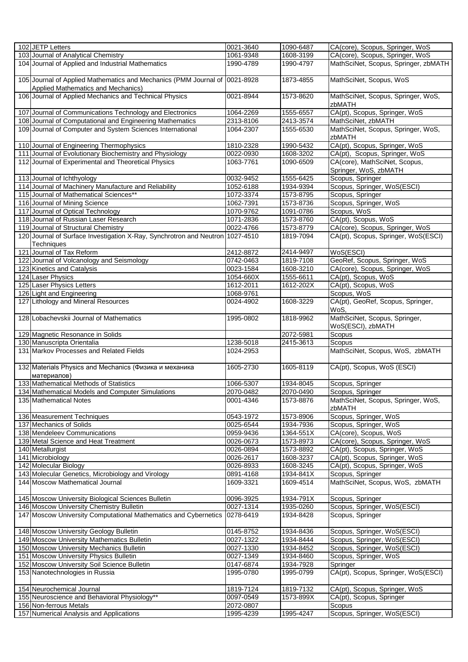| 102 JETP Letters                                                              | 0021-3640              | 1090-6487 | CA(core), Scopus, Springer, WoS       |
|-------------------------------------------------------------------------------|------------------------|-----------|---------------------------------------|
| 103 Journal of Analytical Chemistry                                           | 1061-9348              | 1608-3199 | CA(core), Scopus, Springer, WoS       |
| 104 Journal of Applied and Industrial Mathematics                             | 1990-4789              | 1990-4797 | MathSciNet, Scopus, Springer, zbMATH  |
|                                                                               |                        |           |                                       |
| 105 Journal of Applied Mathematics and Mechanics (PMM Journal of 0021-8928    |                        | 1873-4855 | MathSciNet, Scopus, WoS               |
|                                                                               |                        |           |                                       |
| Applied Mathematics and Mechanics)                                            |                        |           |                                       |
| 106 Journal of Applied Mechanics and Technical Physics                        | 0021-8944              | 1573-8620 | MathSciNet, Scopus, Springer, WoS,    |
|                                                                               |                        |           | zbMATH                                |
| 107 Journal of Communications Technology and Electronics                      | 1064-2269              | 1555-6557 | CA(pt), Scopus, Springer, WoS         |
| 108 Journal of Computational and Engineering Mathematics                      | 2313-8106              | 2413-3574 | MathSciNet, zbMATH                    |
| 109 Journal of Computer and System Sciences International                     | 1064-2307              | 1555-6530 | MathSciNet, Scopus, Springer, WoS,    |
|                                                                               |                        |           | zbMATH                                |
| 110 Journal of Engineering Thermophysics                                      | 1810-2328              | 1990-5432 | CA(pt), Scopus, Springer, WoS         |
| 111 Journal of Evolutionary Biochemistry and Physiology                       | 0022-0930              | 1608-3202 | CA(pt), Scopus, Springer, WoS         |
| 112 Journal of Experimental and Theoretical Physics                           | 1063-7761              | 1090-6509 | CA(core), MathSciNet, Scopus,         |
|                                                                               |                        |           | Springer, WoS, zbMATH                 |
| 113 Journal of Ichthyology                                                    | 0032-9452              | 1555-6425 | Scopus, Springer                      |
| 114 Journal of Machinery Manufacture and Reliability                          | 1052-6188              | 1934-9394 | Scopus, Springer, WoS(ESCI)           |
| 115 Journal of Mathematical Sciences**                                        | 1072-3374              | 1573-8795 | Scopus, Springer                      |
|                                                                               |                        |           |                                       |
| 116 Journal of Mining Science                                                 | 1062-7391              | 1573-8736 | Scopus, Springer, WoS                 |
| 117 Journal of Optical Technology                                             | 1070-9762              | 1091-0786 | Scopus, WoS                           |
| 118 Journal of Russian Laser Research                                         | 1071-2836              | 1573-8760 | CA(pt), Scopus, WoS                   |
| 119 Journal of Structural Chemistry                                           | 0022-4766              | 1573-8779 | CA(core), Scopus, Springer, WoS       |
| 120 Journal of Surface Investigation X-Ray, Synchrotron and Neutron 1027-4510 |                        | 1819-7094 | CA(pt), Scopus, Springer, WoS(ESCI)   |
| Techniques                                                                    |                        |           |                                       |
| 121 Journal of Tax Reform                                                     | 2412-8872              | 2414-9497 | WoS(ESCI)                             |
| 122 Journal of Volcanology and Seismology                                     | 0742-0463              | 1819-7108 | GeoRef, Scopus, Springer, WoS         |
| 123 Kinetics and Catalysis                                                    | 0023-1584              | 1608-3210 | CA(core), Scopus, Springer, WoS       |
| 124 Laser Physics                                                             | 1054-660X              | 1555-6611 | CA(pt), Scopus, WoS                   |
| 125 Laser Physics Letters                                                     | 1612-2011              | 1612-202X | CA(pt), Scopus, WoS                   |
| 126 Light and Engineering                                                     | 1068-9761              |           | Scopus, WoS                           |
| 127 Lithology and Mineral Resources                                           | 0024-4902              | 1608-3229 | CA(pt), GeoRef, Scopus, Springer,     |
|                                                                               |                        |           | WoS.                                  |
|                                                                               |                        |           |                                       |
| 128 Lobachevskii Journal of Mathematics                                       | 1995-0802              | 1818-9962 | MathSciNet, Scopus, Springer,         |
|                                                                               |                        |           | WoS(ESCI), zbMATH                     |
|                                                                               |                        |           |                                       |
| 129 Magnetic Resonance in Solids                                              |                        | 2072-5981 | Scopus                                |
| 130 Manuscripta Orientalia                                                    | 1238-5018              | 2415-3613 | Scopus                                |
| 131 Markov Processes and Related Fields                                       | 1024-2953              |           | MathSciNet, Scopus, WoS, zbMATH       |
|                                                                               |                        |           |                                       |
| 132 Materials Physics and Mechanics (Физика и механика                        | 1605-2730              | 1605-8119 | CA(pt), Scopus, WoS (ESCI)            |
| материалов)                                                                   |                        |           |                                       |
| 133 Mathematical Methods of Statistics                                        | 1066-5307              | 1934-8045 |                                       |
|                                                                               |                        |           | Scopus, Springer                      |
| 134 Mathematical Models and Computer Simulations                              | 2070-0482              | 2070-0490 | Scopus, Springer                      |
| 135 Mathematical Notes                                                        | 0001-4346              | 1573-8876 | MathSciNet, Scopus, Springer, WoS,    |
|                                                                               |                        |           | zbMATH                                |
| 136 Measurement Techniques                                                    | 0543-1972              | 1573-8906 | Scopus, Springer, WoS                 |
| 137 Mechanics of Solids                                                       | 0025-6544              | 1934-7936 | Scopus, Springer, WoS                 |
| 138 Mendeleev Communications                                                  | 0959-9436              | 1364-551X | CA(core), Scopus, WoS                 |
| 139 Metal Science and Heat Treatment                                          | 0026-0673              | 1573-8973 | CA(core), Scopus, Springer, WoS       |
| 140 Metallurgist                                                              | 0026-0894              | 1573-8892 | CA(pt), Scopus, Springer, WoS         |
| 141 Microbiology                                                              | 0026-2617              | 1608-3237 | CA(pt), Scopus, Springer, WoS         |
| 142 Molecular Biology                                                         | 0026-8933              | 1608-3245 | CA(pt), Scopus, Springer, WoS         |
| 143 Molecular Genetics, Microbiology and Virology                             | 0891-4168              | 1934-841X | Scopus, Springer                      |
| 144 Moscow Mathematical Journal                                               | 1609-3321              | 1609-4514 | MathSciNet, Scopus, WoS, zbMATH       |
|                                                                               |                        |           |                                       |
| 145 Moscow University Biological Sciences Bulletin                            | 0096-3925              | 1934-791X | Scopus, Springer                      |
| 146 Moscow University Chemistry Bulletin                                      | 0027-1314              | 1935-0260 | Scopus, Springer, WoS(ESCI)           |
|                                                                               |                        |           |                                       |
| 147 Moscow University Computational Mathematics and Cybernetics               | 0278-6419              | 1934-8428 | Scopus, Springer                      |
|                                                                               |                        |           |                                       |
| 148 Moscow University Geology Bulletin                                        | 0145-8752              | 1934-8436 | Scopus, Springer, WoS(ESCI)           |
| 149 Moscow University Mathematics Bulletin                                    | 0027-1322              | 1934-8444 | Scopus, Springer, WoS(ESCI)           |
| 150 Moscow University Mechanics Bulletin                                      | 0027-1330              | 1934-8452 | Scopus, Springer, WoS(ESCI)           |
| 151 Moscow University Physics Bulletin                                        | 0027-1349              | 1934-8460 | Scopus, Springer, WoS                 |
| 152 Moscow University Soil Science Bulletin                                   | 0147-6874              | 1934-7928 | Springer                              |
| 153 Nanotechnologies in Russia                                                | 1995-0780              | 1995-0799 | CA(pt), Scopus, Springer, WoS(ESCI)   |
|                                                                               |                        |           |                                       |
| 154 Neurochemical Journal                                                     | 1819-7124              | 1819-7132 | CA(pt), Scopus, Springer, WoS         |
| 155 Neuroscience and Behavioral Physiology**                                  | 0097-0549              | 1573-899X | CA(pt), Scopus, Springer              |
| 156 Non-ferrous Metals<br>157 Numerical Analysis and Applications             | 2072-0807<br>1995-4239 | 1995-4247 | Scopus<br>Scopus, Springer, WoS(ESCI) |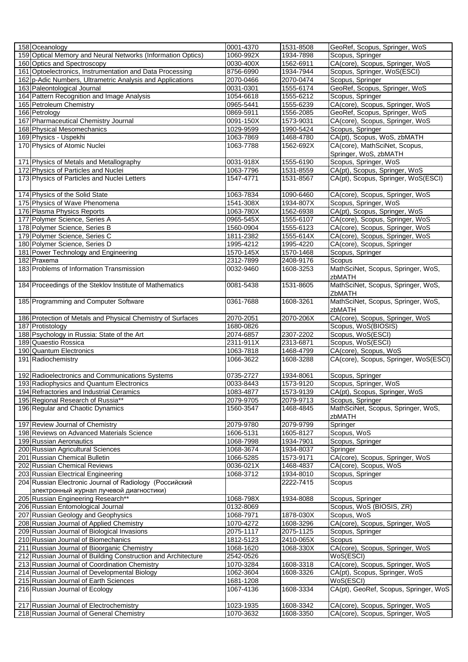| 158 Oceanology                                                                        | 0001-4370                  | 1531-8508              | GeoRef, Scopus, Springer, WoS                                      |
|---------------------------------------------------------------------------------------|----------------------------|------------------------|--------------------------------------------------------------------|
| 159 Optical Memory and Neural Networks (Information Optics)                           | 1060-992X                  | 1934-7898              | Scopus, Springer                                                   |
| 160 Optics and Spectroscopy                                                           | 0030-400X                  | 1562-6911              | CA(core), Scopus, Springer, WoS                                    |
| 161 Optoelectronics, Instrumentation and Data Processing                              | 8756-6990                  | 1934-7944              | Scopus, Springer, WoS(ESCI)                                        |
| 162 p-Adic Numbers, Ultrametric Analysis and Applications                             | 2070-0466                  | 2070-0474              | Scopus, Springer                                                   |
| 163 Paleontological Journal                                                           | 0031-0301                  | 1555-6174              | GeoRef, Scopus, Springer, WoS                                      |
| 164 Pattern Recognition and Image Analysis                                            | 1054-6618                  | 1555-6212              | Scopus, Springer                                                   |
| 165 Petroleum Chemistry                                                               | 0965-5441                  | 1555-6239              | CA(core), Scopus, Springer, WoS                                    |
| 166 Petrology                                                                         | 0869-5911                  | 1556-2085              | GeoRef, Scopus, Springer, WoS                                      |
| 167 Pharmaceutical Chemistry Journal                                                  | 0091-150X                  | 1573-9031              | CA(core), Scopus, Springer, WoS                                    |
| 168 Physical Mesomechanics                                                            | 1029-9599                  | 1990-5424              | Scopus, Springer                                                   |
| 169 Physics - Uspekhi                                                                 | 1063-7869                  | 1468-4780              | CA(pt), Scopus, WoS, zbMATH                                        |
| 170 Physics of Atomic Nuclei                                                          | 1063-7788                  | 1562-692X              | CA(core), MathSciNet, Scopus,                                      |
|                                                                                       |                            |                        | Springer, WoS, zbMATH                                              |
| 171 Physics of Metals and Metallography                                               | 0031-918X                  | 1555-6190              | Scopus, Springer, WoS                                              |
| 172 Physics of Particles and Nuclei                                                   | 1063-7796                  | 1531-8559              | CA(pt), Scopus, Springer, WoS                                      |
| 173 Physics of Particles and Nuclei Letters                                           | 1547-4771                  | 1531-8567              | CA(pt), Scopus, Springer, WoS(ESCI)                                |
|                                                                                       |                            |                        |                                                                    |
| 174 Physics of the Solid State                                                        | 1063-7834                  | 1090-6460              | CA(core), Scopus, Springer, WoS                                    |
| 175 Physics of Wave Phenomena                                                         | 1541-308X                  | 1934-807X              | Scopus, Springer, WoS                                              |
| 176 Plasma Physics Reports                                                            | 1063-780X                  | 1562-6938              | CA(pt), Scopus, Springer, WoS                                      |
| 177 Polymer Science, Series A                                                         | 0965-545X                  | 1555-6107              | CA(core), Scopus, Springer, WoS                                    |
| 178 Polymer Science, Series B                                                         | 1560-0904                  | 1555-6123              | CA(core), Scopus, Springer, WoS                                    |
| 179 Polymer Science, Series C                                                         | 1811-2382                  | 1555-614X              | CA(core), Scopus, Springer, WoS                                    |
| 180 Polymer Science, Series D                                                         | 1995-4212                  | 1995-4220              | CA(core), Scopus, Springer                                         |
| 181 Power Technology and Engineering                                                  | 1570-145X                  | 1570-1468              | Scopus, Springer                                                   |
| 182 Praxema                                                                           | 2312-7899                  | 2408-9176              | Scopus                                                             |
| 183 Problems of Information Transmission                                              | 0032-9460                  | 1608-3253              | MathSciNet, Scopus, Springer, WoS,<br>zbMATH                       |
| 184 Proceedings of the Steklov Institute of Mathematics                               | 0081-5438                  | 1531-8605              | MathSciNet, Scopus, Springer, WoS,                                 |
|                                                                                       |                            |                        | ZbMATH                                                             |
| 185 Programming and Computer Software                                                 | 0361-7688                  | 1608-3261              | MathSciNet, Scopus, Springer, WoS,                                 |
|                                                                                       |                            |                        | zbMATH                                                             |
| 186 Protection of Metals and Physical Chemistry of Surfaces                           | 2070-2051                  | 2070-206X              | CA(core), Scopus, Springer, WoS                                    |
| 187 Protistology                                                                      | 1680-0826                  |                        | Scopus, WoS(BIOSIS)                                                |
|                                                                                       |                            |                        |                                                                    |
|                                                                                       |                            |                        |                                                                    |
| 188 Psychology in Russia: State of the Art<br>189 Quaestio Rossica                    | 2074-6857<br>$2311 - 911X$ | 2307-2202<br>2313-6871 | Scopus, WoS(ESCI)<br>Scopus, WoS(ESCI)                             |
| 190 Quantum Electronics                                                               | 1063-7818                  | 1468-4799              | CA(core), Scopus, WoS                                              |
| 191 Radiochemistry                                                                    | 1066-3622                  | 1608-3288              | CA(core), Scopus, Springer, WoS(ESCI)                              |
|                                                                                       |                            |                        |                                                                    |
| 192 Radioelectronics and Communications Systems                                       | 0735-2727                  | 1934-8061              | Scopus, Springer                                                   |
| 193 Radiophysics and Quantum Electronics                                              | 0033-8443                  | 1573-9120              | Scopus, Springer, WoS                                              |
| 194 Refractories and Industrial Ceramics                                              | 1083-4877                  | 1573-9139              | CA(pt), Scopus, Springer, WoS                                      |
| 195 Regional Research of Russia**                                                     | 2079-9705                  | 2079-9713              | Scopus, Springer                                                   |
| 196 Regular and Chaotic Dynamics                                                      | 1560-3547                  | 1468-4845              | MathSciNet, Scopus, Springer, WoS,                                 |
|                                                                                       |                            |                        | zbMATH                                                             |
| 197 Review Journal of Chemistry                                                       | 2079-9780                  | 2079-9799              | Springer                                                           |
| 198 Reviews on Advanced Materials Science                                             | 1606-5131                  | 1605-8127              | Scopus, WoS                                                        |
| 199 Russian Aeronautics                                                               | 1068-7998                  | 1934-7901              | Scopus, Springer                                                   |
| 200 Russian Agricultural Sciences                                                     | 1068-3674                  | 1934-8037              | Springer                                                           |
| 201 Russian Chemical Bulletin                                                         | 1066-5285                  | 1573-9171              | CA(core), Scopus, Springer, WoS                                    |
| 202 Russian Chemical Reviews                                                          | 0036-021X                  | 1468-4837              | CA(core), Scopus, WoS                                              |
| 203 Russian Electrical Engineering                                                    | 1068-3712                  | 1934-8010              | Scopus, Springer                                                   |
| 204 Russian Electronic Journal of Radiology (Российский                               |                            | 2222-7415              | Scopus                                                             |
| электронный журнал лучевой диагностики)                                               |                            |                        |                                                                    |
| 205 Russian Engineering Research**                                                    | 1068-798X                  | 1934-8088              | Scopus, Springer                                                   |
| 206 Russian Entomological Journal                                                     | 0132-8069                  |                        | Scopus, WoS (BIOSIS, ZR)                                           |
| 207 Russian Geology and Geophysics                                                    | 1068-7971                  | 1878-030X              | Scopus, WoS                                                        |
| 208 Russian Journal of Applied Chemistry                                              | 1070-4272                  | 1608-3296              | CA(core), Scopus, Springer, WoS                                    |
| 209 Russian Journal of Biological Invasions                                           | 2075-1117                  | 2075-1125              | Scopus, Springer<br>Scopus                                         |
| 210 Russian Journal of Biomechanics                                                   | 1812-5123                  | 2410-065X              |                                                                    |
| 211 Russian Journal of Bioorganic Chemistry                                           | 1068-1620                  | 1068-330X              | CA(core), Scopus, Springer, WoS                                    |
| 212 Russian Journal of Building Construction and Architecture                         | 2542-0526                  |                        | WoS(ESCI)                                                          |
| 213 Russian Journal of Coordination Chemistry                                         | 1070-3284<br>1062-3604     | 1608-3318<br>1608-3326 | CA(core), Scopus, Springer, WoS                                    |
| 214 Russian Journal of Developmental Biology<br>215 Russian Journal of Earth Sciences | 1681-1208                  |                        | CA(pt), Scopus, Springer, WoS<br>WoS(ESCI)                         |
| 216 Russian Journal of Ecology                                                        | 1067-4136                  | 1608-3334              | CA(pt), GeoRef, Scopus, Springer, WoS                              |
|                                                                                       |                            |                        |                                                                    |
| 217 Russian Journal of Electrochemistry<br>218 Russian Journal of General Chemistry   | 1023-1935<br>1070-3632     | 1608-3342<br>1608-3350 | CA(core), Scopus, Springer, WoS<br>CA(core), Scopus, Springer, WoS |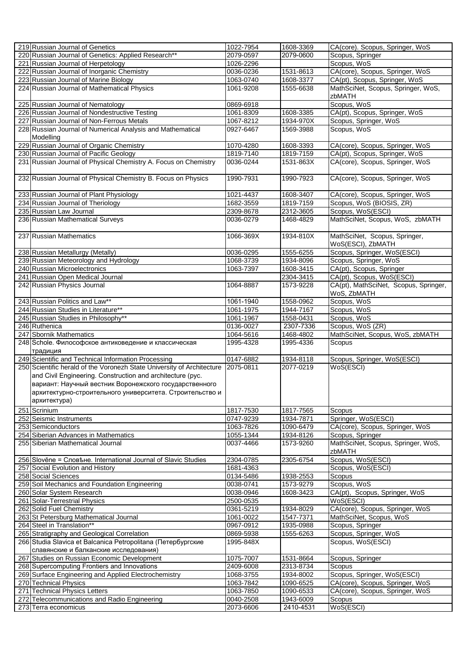| 219 Russian Journal of Genetics                                                                                                                                                                                                                                            | 1022-7954              | 1608-3369              | CA(core). Scopus, Springer, WoS                      |
|----------------------------------------------------------------------------------------------------------------------------------------------------------------------------------------------------------------------------------------------------------------------------|------------------------|------------------------|------------------------------------------------------|
| 220 Russian Journal of Genetics: Applied Research**                                                                                                                                                                                                                        | 2079-0597              | 2079-0600              | Scopus, Springer                                     |
| 221 Russian Journal of Herpetology                                                                                                                                                                                                                                         | 1026-2296              |                        | Scopus, WoS                                          |
| 222 Russian Journal of Inorganic Chemistry                                                                                                                                                                                                                                 | 0036-0236              | 1531-8613              | CA(core), Scopus, Springer, WoS                      |
| 223 Russian Journal of Marine Biology                                                                                                                                                                                                                                      | 1063-0740              | 1608-3377              | CA(pt), Scopus, Springer, WoS                        |
| 224 Russian Journal of Mathematical Physics                                                                                                                                                                                                                                | 1061-9208              | 1555-6638              | MathSciNet, Scopus, Springer, WoS,<br>zbMATH         |
| 225 Russian Journal of Nematology                                                                                                                                                                                                                                          | 0869-6918              |                        | Scopus, WoS                                          |
| 226 Russian Journal of Nondestructive Testing                                                                                                                                                                                                                              | 1061-8309              | 1608-3385              | CA(pt), Scopus, Springer, WoS                        |
| 227 Russian Journal of Non-Ferrous Metals                                                                                                                                                                                                                                  | 1067-8212              | 1934-970X              | Scopus, Springer, WoS                                |
| 228 Russian Journal of Numerical Analysis and Mathematical<br>Modelling                                                                                                                                                                                                    | 0927-6467              | 1569-3988              | Scopus, WoS                                          |
| 229 Russian Journal of Organic Chemistry                                                                                                                                                                                                                                   | 1070-4280              | 1608-3393              | CA(core), Scopus, Springer, WoS                      |
| 230 Russian Journal of Pacific Geology                                                                                                                                                                                                                                     | 1819-7140              | 1819-7159              | CA(pt), Scopus, Springer, WoS                        |
| 231 Russian Journal of Physical Chemistry A. Focus on Chemistry                                                                                                                                                                                                            | 0036-0244              | 1531-863X              | CA(core), Scopus, Springer, WoS                      |
| 232 Russian Journal of Physical Chemistry B. Focus on Physics                                                                                                                                                                                                              | 1990-7931              | 1990-7923              | CA(core), Scopus, Springer, WoS                      |
| 233 Russian Journal of Plant Physiology                                                                                                                                                                                                                                    | 1021-4437              | 1608-3407              | CA(core), Scopus, Springer, WoS                      |
| 234 Russian Journal of Theriology                                                                                                                                                                                                                                          | 1682-3559              | 1819-7159              | Scopus, WoS (BIOSIS, ZR)                             |
| 235 Russian Law Journal                                                                                                                                                                                                                                                    | 2309-8678              | 2312-3605              | Scopus, WoS(ESCI)                                    |
| 236 Russian Mathematical Surveys                                                                                                                                                                                                                                           | 0036-0279              | 1468-4829              | MathSciNet, Scopus, WoS, zbMATH                      |
| 237 Russian Mathematics                                                                                                                                                                                                                                                    | 1066-369X              | 1934-810X              | MathSciNet, Scopus, Springer,<br>WoS(ESCI), ZbMATH   |
| 238 Russian Metallurgy (Metally)                                                                                                                                                                                                                                           | 0036-0295              | 1555-6255              | Scopus, Springer, WoS(ESCI)                          |
| 239 Russian Meteorology and Hydrology                                                                                                                                                                                                                                      | 1068-3739              | 1934-8096              | Scopus, Springer, WoS                                |
| 240 Russian Microelectronics                                                                                                                                                                                                                                               | 1063-7397              | 1608-3415              | CA(pt), Scopus, Springer                             |
| 241 Russian Open Medical Journal                                                                                                                                                                                                                                           |                        | 2304-3415              | CA(pt), Scopus, WoS(ESCI)                            |
| 242 Russian Physics Journal                                                                                                                                                                                                                                                | 1064-8887              | 1573-9228              | CA(pt), MathSciNet, Scopus, Springer,<br>WoS, ZbMATH |
| 243 Russian Politics and Law**                                                                                                                                                                                                                                             | 1061-1940              | 1558-0962              | Scopus, WoS                                          |
| 244 Russian Studies in Literature**                                                                                                                                                                                                                                        | 1061-1975              | 1944-7167              | Scopus, WoS                                          |
| 245 Russian Studies in Philosophy**                                                                                                                                                                                                                                        | 1061-1967              | 1558-0431              | Scopus, WoS                                          |
| 246 Ruthenica                                                                                                                                                                                                                                                              | 0136-0027              | 2307-7336              | Scopus, WoS (ZR)                                     |
|                                                                                                                                                                                                                                                                            |                        |                        |                                                      |
| 247 Sbornik Mathematics                                                                                                                                                                                                                                                    | 1064-5616              | 1468-4802              | MathSciNet, Scopus, WoS, zbMATH                      |
| 248 Schole. Философское антиковедение и классическая<br>традиция                                                                                                                                                                                                           | 1995-4328              | 1995-4336              | Scopus                                               |
| 249 Scientific and Technical Information Processing                                                                                                                                                                                                                        | 0147-6882              | 1934-8118              | Scopus, Springer, WoS(ESCI)                          |
| 250 Scientific herald of the Voronezh State University of Architecture<br>and Civil Engineering. Construction and architecture (pyc.<br>вариант: Научный вестник Воронежского государственного<br>архитектурно-строительного университета. Строительство и<br>архитектура) | 2075-0811              | 2077-0219              | WoS(ESCI)                                            |
|                                                                                                                                                                                                                                                                            |                        |                        | Scopus                                               |
| 251 Scrinium                                                                                                                                                                                                                                                               | 1817-7530              | 1817-7565              |                                                      |
| 252 Seismic Instruments                                                                                                                                                                                                                                                    | 0747-9239              | 1934-7871              | Springer, WoS(ESCI)                                  |
| 253 Semiconductors<br>254 Siberian Advances in Mathematics                                                                                                                                                                                                                 | 1063-7826<br>1055-1344 | 1090-6479<br>1934-8126 | CA(core), Scopus, Springer, WoS<br>Scopus, Springer  |
| 255 Siberian Mathematical Journal                                                                                                                                                                                                                                          | 0037-4466              | 1573-9260              | MathSciNet, Scopus, Springer, WoS,<br>zbMATH         |
| 256 Slověne = Словене. International Journal of Slavic Studies                                                                                                                                                                                                             | 2304-0785              | 2305-6754              | Scopus, WoS(ESCI)                                    |
| 257 Social Evolution and History                                                                                                                                                                                                                                           | 1681-4363              |                        | Scopus, WoS(ESCI)                                    |
| 258 Social Sciences                                                                                                                                                                                                                                                        | 0134-5486              | 1938-2553              | Scopus                                               |
| 259 Soil Mechanics and Foundation Engineering                                                                                                                                                                                                                              | 0038-0741              | 1573-9279              | Scopus, WoS                                          |
| 260 Solar System Research                                                                                                                                                                                                                                                  | 0038-0946              | 1608-3423              | CA(pt), Scopus, Springer, WoS                        |
| 261 Solar-Terrestrial Physics                                                                                                                                                                                                                                              | 2500-0535              |                        | WoS(ESCI)                                            |
| 262 Solid Fuel Chemistry                                                                                                                                                                                                                                                   | 0361-5219              | 1934-8029              | CA(core), Scopus, Springer, WoS                      |
| 263 St Petersburg Mathematical Journal                                                                                                                                                                                                                                     | 1061-0022              | 1547-7371              | MathSciNet, Scopus, WoS                              |
| 264 Steel in Translation**                                                                                                                                                                                                                                                 | 0967-0912              | 1935-0988              | Scopus, Springer                                     |
| 265 Stratigraphy and Geological Correlation<br>266 Studia Slavica et Balcanica Petropolitana (Петербургские                                                                                                                                                                | 0869-5938<br>1995-848X | 1555-6263              | Scopus, Springer, WoS<br>Scopus, WoS(ESCI)           |
| славянские и балканские исследования)                                                                                                                                                                                                                                      |                        |                        |                                                      |
| 267 Studies on Russian Economic Development                                                                                                                                                                                                                                | 1075-7007              | 1531-8664              | Scopus, Springer                                     |
| 268 Supercomputing Frontiers and Innovations                                                                                                                                                                                                                               | 2409-6008              | 2313-8734              | Scopus                                               |
| 269 Surface Engineering and Applied Electrochemistry                                                                                                                                                                                                                       | 1068-3755              | 1934-8002              | Scopus, Springer, WoS(ESCI)                          |
| 270 Technical Physics                                                                                                                                                                                                                                                      | 1063-7842              | 1090-6525              | CA(core), Scopus, Springer, WoS                      |
| 271 Technical Physics Letters                                                                                                                                                                                                                                              | 1063-7850              | 1090-6533              | CA(core), Scopus, Springer, WoS                      |
| 272 Telecommunications and Radio Engineering<br>273 Terra economicus                                                                                                                                                                                                       | 0040-2508<br>2073-6606 | 1943-6009<br>2410-4531 | Scopus<br>WoS(ESCI)                                  |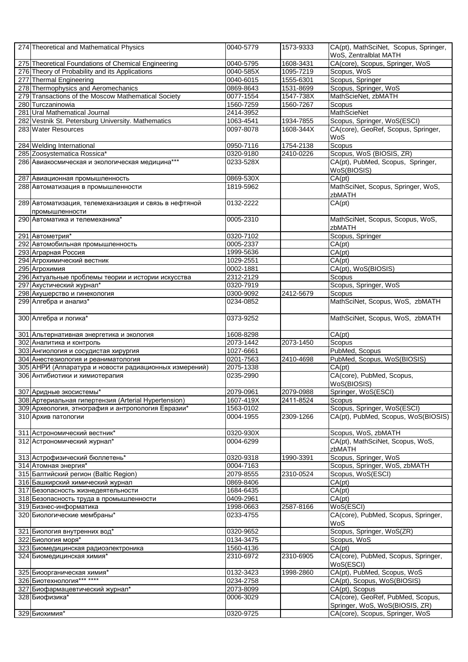| 274 Theoretical and Mathematical Physics                                | 0040-5779 | 1573-9333 | CA(pt), MathSciNet, Scopus, Springer,<br>WoS, Zentralblat MATH                                         |
|-------------------------------------------------------------------------|-----------|-----------|--------------------------------------------------------------------------------------------------------|
| 275 Theoretical Foundations of Chemical Engineering                     | 0040-5795 | 1608-3431 | CA(core), Scopus, Springer, WoS                                                                        |
| 276 Theory of Probability and its Applications                          | 0040-585X | 1095-7219 | Scopus, WoS                                                                                            |
| 277 Thermal Engineering                                                 | 0040-6015 | 1555-6301 | Scopus, Springer                                                                                       |
| 278 Thermophysics and Aeromechanics                                     | 0869-8643 | 1531-8699 | Scopus, Springer, WoS                                                                                  |
| 279 Transactions of the Moscow Mathematical Society                     | 0077-1554 | 1547-738X | MathScieNet, zbMATH                                                                                    |
| 280 Turczaninowia                                                       | 1560-7259 | 1560-7267 | Scopus                                                                                                 |
| 281 Ural Mathematical Journal                                           | 2414-3952 |           | <b>MathScieNet</b>                                                                                     |
| 282 Vestnik St. Petersburg University. Mathematics                      | 1063-4541 | 1934-7855 | Scopus, Springer, WoS(ESCI)                                                                            |
| 283 Water Resources                                                     | 0097-8078 | 1608-344X | CA(core), GeoRef, Scopus, Springer,<br>WoS                                                             |
| 284 Welding International                                               | 0950-7116 | 1754-2138 | Scopus                                                                                                 |
| 285 Zoosystematica Rossica*                                             | 0320-9180 | 2410-0226 | Scopus, WoS (BIOSIS, ZR)                                                                               |
| 286 Авиакосмическая и экологическая медицина***                         | 0233-528X |           | CA(pt), PubMed, Scopus, Springer,<br>WoS(BIOSIS)                                                       |
| 287 Авиационная промышленность                                          | 0869-530X |           | CA(pt)                                                                                                 |
| 288 Автоматизация в промышленности                                      | 1819-5962 |           | MathSciNet, Scopus, Springer, WoS,<br>zbMATH                                                           |
| 289 Автоматизация, телемеханизация и связь в нефтяной<br>промышленности | 0132-2222 |           | CA(pt)                                                                                                 |
| 290 Автоматика и телемеханика*                                          | 0005-2310 |           | MathSciNet, Scopus, Scopus, WoS,<br>zbMATH                                                             |
| 291 Автометрия*                                                         | 0320-7102 |           | Scopus, Springer                                                                                       |
| 292 Автомобильная промышленность                                        | 0005-2337 |           | CA(pt)                                                                                                 |
| 293 Аграрная Россия                                                     | 1999-5636 |           | CA(pt)                                                                                                 |
| 294 Агрохимический вестник                                              | 1029-2551 |           | CA(pt)                                                                                                 |
| 295 Агрохимия                                                           | 0002-1881 |           | CA(pt), WoS(BIOSIS)                                                                                    |
| 296 Актуальные проблемы теории и истории искусства                      | 2312-2129 |           | Scopus                                                                                                 |
| 297 Акустический журнал*                                                | 0320-7919 |           | Scopus, Springer, WoS                                                                                  |
| 298 Акушерство и гинекология                                            | 0300-9092 | 2412-5679 | Scopus                                                                                                 |
| 299 Алгебра и анализ*                                                   | 0234-0852 |           | MathSciNet, Scopus, WoS, zbMATH                                                                        |
| 300 Алгебра и логика*                                                   | 0373-9252 |           | MathSciNet, Scopus, WoS, zbMATH                                                                        |
|                                                                         | 1608-8298 |           | CA(pt)                                                                                                 |
| 301 Альтернативная энергетика и экология                                |           |           |                                                                                                        |
| 302 Аналитика и контроль                                                | 2073-1442 | 2073-1450 | Scopus                                                                                                 |
| 303 Ангиология и сосудистая хирургия                                    | 1027-6661 |           | PubMed, Scopus                                                                                         |
| 304 Анестезиология и реаниматология                                     | 0201-7563 | 2410-4698 | PubMed, Scopus, WoS(BIOSIS)                                                                            |
| 305 АНРИ (Аппаратура и новости радиационных измерений)                  | 2075-1338 |           | CA(pt)                                                                                                 |
| 306 Антибиотики и химиотерапия                                          | 0235-2990 |           | CA(core), PubMed, Scopus,<br>WoS(BIOSIS)                                                               |
| 307 Аридные экосистемы*                                                 | 2079-0961 | 2079-0988 | Springer, WoS(ESCI)                                                                                    |
| 308 Артериальная гипертензия (Arterial Hypertension)                    | 1607-419X | 2411-8524 | Scopus                                                                                                 |
| 309 Археология, этнография и антропология Евразии*                      | 1563-0102 |           | Scopus, Springer, WoS(ESCI)                                                                            |
| 310 Архив патологии                                                     | 0004-1955 | 2309-1266 | CA(pt), PubMed, Scopus, WoS(BIOSIS)                                                                    |
| 311 Астрономический вестник*                                            | 0320-930X |           | Scopus, WoS, zbMATH                                                                                    |
| 312 Астрономический журнал*                                             | 0004-6299 |           | CA(pt), MathSciNet, Scopus, WoS,<br>zbMATH                                                             |
| 313 Астрофизический бюллетень*                                          | 0320-9318 | 1990-3391 | Scopus, Springer, WoS                                                                                  |
| 314 Атомная энергия*                                                    | 0004-7163 |           | Scopus, Springer, WoS, zbMATH                                                                          |
| 315 Балтийский регион (Baltic Region)                                   | 2079-8555 | 2310-0524 | Scopus, WoS(ESCI)                                                                                      |
| 316 Башкирский химический журнал                                        | 0869-8406 |           | CA(pt)                                                                                                 |
| 317 Безопасность жизнедеятельности                                      | 1684-6435 |           | CA(pt)                                                                                                 |
| 318 Безопасность труда в промышленности                                 | 0409-2961 |           | CA(pt)                                                                                                 |
| 319 Бизнес-информатика                                                  | 1998-0663 | 2587-8166 | WoS(ESCI)                                                                                              |
| 320 Биологические мембраны*                                             | 0233-4755 |           | CA(core), PubMed, Scopus, Springer,<br>WoS                                                             |
| 321 Биология внутренних вод*                                            | 0320-9652 |           | Scopus, Springer, WoS(ZR)                                                                              |
| 322 Биология моря*                                                      | 0134-3475 |           | Scopus, WoS                                                                                            |
| 323 Биомедицинская радиоэлектроника                                     | 1560-4136 |           | CA(pt)                                                                                                 |
| 324 Биомедицинская химия*                                               | 2310-6972 | 2310-6905 | CA(core), PubMed, Scopus, Springer,<br>WoS(ESCI)                                                       |
| 325 Биоорганическая химия*                                              | 0132-3423 | 1998-2860 | CA(pt), PubMed, Scopus, WoS                                                                            |
| 326 Биотехнология*** ****                                               | 0234-2758 |           | CA(pt), Scopus, WoS(BIOSIS)                                                                            |
| 327 Биофармацевтический журнал*                                         | 2073-8099 |           | CA(pt), Scopus                                                                                         |
| 328 Биофизика*<br>329 Биохимия*                                         | 0006-3029 |           | CA(core), GeoRef, PubMed, Scopus,<br>Springer, WoS, WoS(BIOSIS, ZR)<br>CA(core), Scopus, Springer, WoS |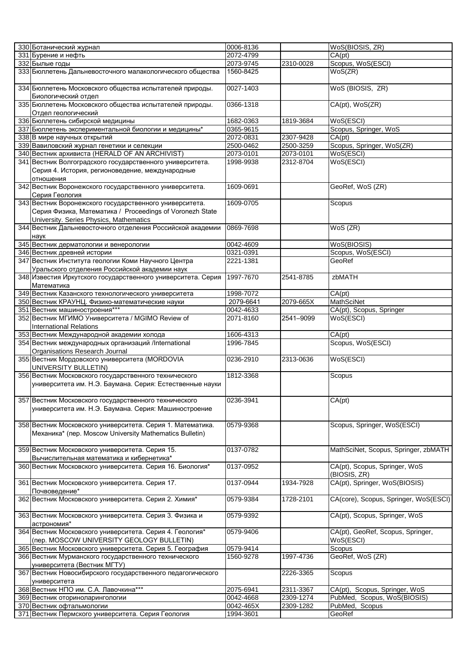| 330 Ботанический журнал                                                                                               | 0006-8136 |           | WoS(BIOSIS, ZR)                                |
|-----------------------------------------------------------------------------------------------------------------------|-----------|-----------|------------------------------------------------|
| 331 Бурение и нефть                                                                                                   | 2072-4799 |           | CA(pt)                                         |
| 332 Былые годы                                                                                                        | 2073-9745 | 2310-0028 | Scopus, WoS(ESCI)                              |
| 333 Бюллетень Дальневосточного малакологического общества                                                             | 1560-8425 |           | WoS(ZR)                                        |
| 334 Бюллетень Московского общества испытателей природы.<br>Биологический отдел                                        | 0027-1403 |           | WoS (BIOSIS, ZR)                               |
| 335 Бюллетень Московского общества испытателей природы.<br>Отдел геологический                                        | 0366-1318 |           | CA(pt), WoS(ZR)                                |
| 336 Бюллетень сибирской медицины                                                                                      | 1682-0363 | 1819-3684 | WoS(ESCI)                                      |
| 337 Бюллетень экспериментальной биологии и медицины*                                                                  | 0365-9615 |           | Scopus, Springer, WoS                          |
| 338 В мире научных открытий                                                                                           | 2072-0831 | 2307-9428 | CA(pt)                                         |
| 339 Вавиловский журнал генетики и селекции                                                                            | 2500-0462 | 2500-3259 | Scopus, Springer, WoS(ZR)                      |
| 340 Вестник архивиста (HERALD OF AN ARCHIVIST)                                                                        | 2073-0101 | 2073-0101 | WoS(ESCI)                                      |
| 341 Вестник Волгоградского государственного университета.                                                             | 1998-9938 | 2312-8704 | WoS(ESCI)                                      |
| Серия 4. История, регионоведение, международные<br>отношения                                                          |           |           |                                                |
| 342 Вестник Воронежского государственного университета.<br>Серия Геология                                             | 1609-0691 |           | GeoRef, WoS (ZR)                               |
| 343 Вестник Воронежского государственного университета.                                                               | 1609-0705 |           | Scopus                                         |
| Серия Физика, Математика / Proceedings of Voronezh State<br>University. Series Physics, Mathematics                   |           |           |                                                |
| 344 Вестник Дальневосточного отделения Российской академии                                                            | 0869-7698 |           | WoS (ZR)                                       |
| наук                                                                                                                  |           |           |                                                |
| 345 Вестник дерматологии и венерологии                                                                                | 0042-4609 |           | WoS(BIOSIS)                                    |
| 346 Вестник древней истории                                                                                           | 0321-0391 |           | Scopus, WoS(ESCI)                              |
| 347 Вестник Института геологии Коми Научного Центра                                                                   | 2221-1381 |           | GeoRef                                         |
| Уральского отделения Российской академии наук                                                                         |           |           |                                                |
| 348 Известия Иркутского государственного университета. Серия<br>Математика                                            | 1997-7670 | 2541-8785 | zbMATH                                         |
| 349 Вестник Казанского технологического университета                                                                  | 1998-7072 |           | CA(pt)                                         |
| 350 Вестник КРАУНЦ. Физико-математические науки                                                                       | 2079-6641 | 2079-665X | <b>MathSciNet</b>                              |
| 351 Вестник машиностроения***                                                                                         | 0042-4633 |           | CA(pt), Scopus, Springer                       |
| 352 Вестник МГИМО Университета / MGIMO Review of                                                                      | 2071-8160 | 2541-9099 | WoS(ESCI)                                      |
| <b>International Relations</b>                                                                                        |           |           |                                                |
| 353 Вестник Международной академии холода                                                                             | 1606-4313 |           | CA(pt)                                         |
| 354 Вестник международных организаций /International<br>Organisations Research Journal                                | 1996-7845 |           | Scopus, WoS(ESCI)                              |
| 355 Вестник Мордовского университета (MORDOVIA<br>UNIVERSITY BULLETIN)                                                | 0236-2910 | 2313-0636 | WoS(ESCI)                                      |
| 356 Вестник Московского государственного технического<br>университета им. Н.Э. Баумана. Серия: Естественные науки     | 1812-3368 |           | Scopus                                         |
|                                                                                                                       |           |           |                                                |
| 357 Вестник Московского государственного технического<br>университета им. Н.Э. Баумана. Серия: Машиностроение         | 0236-3941 |           | CA(pt)                                         |
| 358 Вестник Московского университета. Серия 1. Математика.<br>Механика* (пер. Moscow University Mathematics Bulletin) | 0579-9368 |           | Scopus, Springer, WoS(ESCI)                    |
| 359 Вестник Московского университета. Серия 15.                                                                       | 0137-0782 |           | MathSciNet, Scopus, Springer, zbMATH           |
| Вычислительная математика и кибернетика*                                                                              |           |           |                                                |
| 360 Вестник Московского университета. Серия 16. Биология*                                                             | 0137-0952 |           | CA(pt), Scopus, Springer, WoS<br>(BIOSIS, ZR)  |
| 361 Вестник Московского университета. Серия 17.<br>Почвоведение*                                                      | 0137-0944 | 1934-7928 | CA(pt), Springer, WoS(BIOSIS)                  |
| 362 Вестник Московского университета. Серия 2. Химия*                                                                 | 0579-9384 | 1728-2101 | CA(core), Scopus, Springer, WoS(ESCI)          |
| 363 Вестник Московского университета. Серия 3. Физика и<br>астрономия*                                                | 0579-9392 |           | CA(pt), Scopus, Springer, WoS                  |
| 364 Вестник Московского университета. Серия 4. Геология*<br>(пер. MOSCOW UNIVERSITY GEOLOGY BULLETIN)                 | 0579-9406 |           | CA(pt), GeoRef, Scopus, Springer,<br>WoS(ESCI) |
| 365 Вестник Московского университета. Серия 5. География                                                              | 0579-9414 |           | Scopus                                         |
| 366 Вестник Мурманского государственного технического<br>университета (Вестник МГТУ)                                  | 1560-9278 | 1997-4736 | GeoRef, WoS (ZR)                               |
| 367 Вестник Новосибирского государственного педагогического<br>университета                                           |           | 2226-3365 | Scopus                                         |
| 368 Вестник НПО им. С.А. Лавочкина***                                                                                 | 2075-6941 | 2311-3367 | CA(pt), Scopus, Springer, WoS                  |
| 369 Вестник оториноларингологии                                                                                       | 0042-4668 | 2309-1274 | PubMed, Scopus, WoS(BIOSIS)                    |
| 370 Вестник офтальмологии                                                                                             | 0042-465X | 2309-1282 | PubMed, Scopus                                 |
| 371 Вестник Пермского университета. Серия Геология                                                                    | 1994-3601 |           | GeoRef                                         |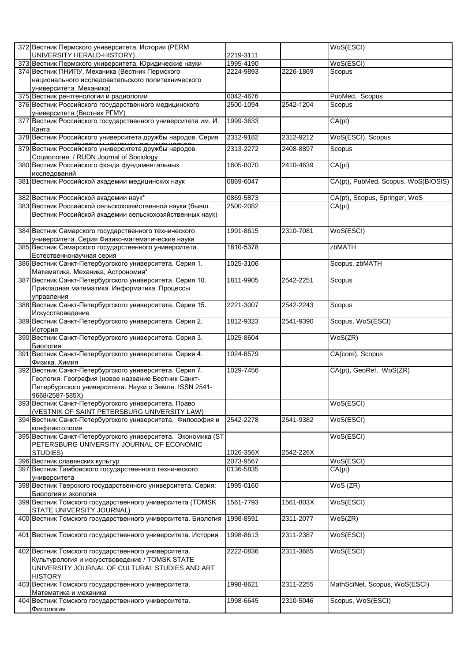| 372 Вестник Пермского университета. История (PERM                                                         |           |           | WoS(ESCI)                           |
|-----------------------------------------------------------------------------------------------------------|-----------|-----------|-------------------------------------|
| UNIVERSITY HERALD-HISTORY)                                                                                | 2219-3111 |           |                                     |
| 373 Вестник Пермского университета. Юридические науки                                                     | 1995-4190 |           | WoS(ESCI)                           |
| 374 Вестник ПНИПУ. Механика (Вестник Пермского                                                            | 2224-9893 | 2226-1869 | Scopus                              |
| национального исследовательского политехнического                                                         |           |           |                                     |
| университета. Механика)                                                                                   |           |           |                                     |
| 375 Вестник рентгенологии и радиологии                                                                    | 0042-4676 |           | PubMed,<br>Scopus                   |
| 376 Вестник Российского государственного медицинского                                                     | 2500-1094 | 2542-1204 | Scopus                              |
| университета (Вестник РГМУ)<br>377 Вестник Российского государственного университета им. И.               | 1999-3633 |           | CA(pt)                              |
| Канта                                                                                                     |           |           |                                     |
| 378 Вестник Российского университета дружбы народов. Серия                                                | 2312-9182 | 2312-9212 | WoS(ESCI), Scopus                   |
| 379 Вестник Российского университета дружбы народов.                                                      | 2313-2272 | 2408-8897 | Scopus                              |
| Социология / RUDN Journal of Sociology                                                                    |           |           |                                     |
| 380 Вестник Российского фонда фундаментальных                                                             | 1605-8070 | 2410-4639 | CA(pt)                              |
| исследований                                                                                              |           |           |                                     |
| 381 Вестник Российской академии медицинских наук                                                          | 0869-6047 |           | CA(pt), PubMed, Scopus, WoS(BIOSIS) |
|                                                                                                           |           |           |                                     |
| 382 Вестник Российской академии наук*                                                                     | 0869-5873 |           | CA(pt), Scopus, Springer, WoS       |
| 383 Вестник Российской сельскохозяйственной науки (бывш.                                                  | 2500-2082 |           | CA(pt)                              |
| Вестник Российской академии сельскохозяйственных наук)                                                    |           |           |                                     |
| 384 Вестник Самарского государственного технического                                                      | 1991-8615 | 2310-7081 | WoS(ESCI)                           |
| университета. Серия Физико-математические науки                                                           |           |           |                                     |
| 385 Вестник Самарского государственного университета.                                                     | 1810-5378 |           | zbMATH                              |
| Естественнонаучная серия                                                                                  |           |           |                                     |
| 386 Вестник Санкт-Петербургского университета. Серия 1.                                                   | 1025-3106 |           | Scopus, zbMATH                      |
| Математика. Механика, Астрономия*                                                                         |           |           |                                     |
| 387 Вестник Санкт-Петербургского университета. Серия 10.                                                  | 1811-9905 | 2542-2251 | Scopus                              |
| Прикладная математика. Информатика. Процессы                                                              |           |           |                                     |
| управления<br>388 Вестник Санкт-Петербургского университета. Серия 15.                                    | 2221-3007 | 2542-2243 | Scopus                              |
| Искусствоведение                                                                                          |           |           |                                     |
| 389 Вестник Санкт-Петербургского университета. Серия 2.                                                   | 1812-9323 | 2541-9390 | Scopus, WoS(ESCI)                   |
| История                                                                                                   |           |           |                                     |
| 390 Вестник Санкт-Петербургского университета. Серия 3.                                                   | 1025-8604 |           | WoS(ZR)                             |
| Биология                                                                                                  |           |           |                                     |
| 391 Вестник Санкт-Петербургского университета. Серия 4.                                                   | 1024-8579 |           | CA(core), Scopus                    |
| Физика. Химия<br>392 Вестник Санкт-Петербургского университета. Серия 7.                                  | 1029-7456 |           |                                     |
| Геология. География (новое название Вестник Санкт-                                                        |           |           | CA(pt), GeoRef, WoS(ZR)             |
| Петербургского университета. Науки о Земле. ISSN 2541-                                                    |           |           |                                     |
| 9668/2587-585X)                                                                                           |           |           |                                     |
| 393 Вестник Санкт-Петербургского университета. Право                                                      |           |           | WoS(ESCI)                           |
| (VESTNIK OF SAINT PETERSBURG UNIVERSITY LAW)                                                              |           |           |                                     |
| 394 Вестник Санкт-Петербургского университета. Философия и                                                | 2542-2278 | 2541-9382 | WoS(ESCI)                           |
| конфликтология                                                                                            |           |           |                                     |
| 395 Вестник Санкт-Петербургского университета. Экономика (ST<br>PETERSBURG UNIVERSITY JOURNAL OF ECONOMIC |           |           | WoS(ESCI)                           |
| STUDIES)                                                                                                  | 1026-356X | 2542-226X |                                     |
| 396 Вестник славянских культур                                                                            | 2073-9567 |           | WoS(ESCI)                           |
| 397 Вестник Тамбовского государственного технического                                                     | 0136-5835 |           | CA(pt)                              |
| университета                                                                                              |           |           |                                     |
| 398 Вестник Тверского государственного университета. Серия:                                               | 1995-0160 |           | $WoS$ (ZR)                          |
| Биология и экология                                                                                       |           |           |                                     |
| 399 Вестник Томского государственного университета (TOMSK                                                 | 1561-7793 | 1561-803X | WoS(ESCI)                           |
| STATE UNIVERSITY JOURNAL)<br>400 Вестник Томского государственного университета. Биология                 | 1998-8591 | 2311-2077 | WoS(ZR)                             |
|                                                                                                           |           |           |                                     |
| 401 Вестник Томского государственного университета. История                                               | 1998-8613 | 2311-2387 | WoS(ESCI)                           |
|                                                                                                           |           |           |                                     |
| 402 Вестник Томского государственного университета.                                                       | 2222-0836 | 2311-3685 | WoS(ESCI)                           |
| Культурология и искусствоведение / TOMSK STATE                                                            |           |           |                                     |
| UNIVERSITY JOURNAL OF CULTURAL STUDIES AND ART                                                            |           |           |                                     |
| <b>HISTORY</b>                                                                                            |           |           |                                     |
| 403 Вестник Томского государственного университета.                                                       | 1998-8621 | 2311-2255 | MathSciNet, Scopus, WoS(ESCI)       |
| Математика и механика<br>404 Вестник Томского государственного университета.                              | 1998-6645 | 2310-5046 | Scopus, WoS(ESCI)                   |
| Филология                                                                                                 |           |           |                                     |
|                                                                                                           |           |           |                                     |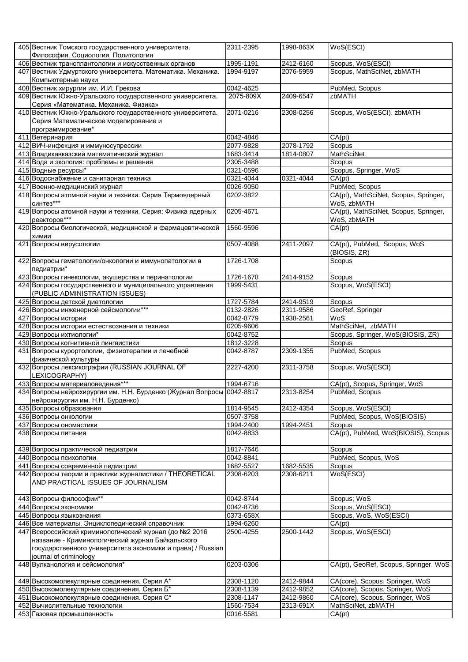| 405 Вестник Томского государственного университета.<br>Философия. Социология. Политология                                                                                | 2311-2395              | 1998-863X              | WoS(ESCI)                                                          |
|--------------------------------------------------------------------------------------------------------------------------------------------------------------------------|------------------------|------------------------|--------------------------------------------------------------------|
| 406 Вестник трансплантологии и искусственных органов                                                                                                                     | 1995-1191              | 2412-6160              | Scopus, WoS(ESCI)                                                  |
| 407 Вестник Удмуртского университета. Математика. Механика.                                                                                                              | 1994-9197              | 2076-5959              | Scopus, MathSciNet, zbMATH                                         |
| Компьютерные науки                                                                                                                                                       |                        |                        |                                                                    |
| 408 Вестник хирургии им. И.И. Грекова                                                                                                                                    | 0042-4625              |                        | PubMed, Scopus                                                     |
| 409 Вестник Южно-Уральского государственного университета.                                                                                                               | 2075-809X              | 2409-6547              | zbMATH                                                             |
| Серия «Математика. Механика. Физика»<br>410 Вестник Южно-Уральского государственного университета.                                                                       | 2071-0216              | 2308-0256              | Scopus, WoS(ESCI), zbMATH                                          |
| Серия Математическое моделирование и                                                                                                                                     |                        |                        |                                                                    |
| программирование*                                                                                                                                                        |                        |                        |                                                                    |
| 411 Ветеринария                                                                                                                                                          | 0042-4846              |                        | CA(pt)                                                             |
| 412 ВИЧ-инфекция и иммуносупрессии                                                                                                                                       | 2077-9828              | 2078-1792              | Scopus                                                             |
| 413 Владикавказский математический журнал                                                                                                                                | 1683-3414              | 1814-0807              | MathSciNet                                                         |
| 414 Вода и экология: проблемы и решения                                                                                                                                  | 2305-3488              |                        | Scopus                                                             |
| 415 Водные ресурсы*                                                                                                                                                      | 0321-0596              |                        | Scopus, Springer, WoS                                              |
| 416 Водоснабжение и санитарная техника                                                                                                                                   | 0321-4044              | 0321-4044              | CA(pt)                                                             |
| 417 Военно-медицинский журнал                                                                                                                                            | 0026-9050              |                        | PubMed, Scopus                                                     |
| 418 Вопросы атомной науки и техники. Серия Термоядерный<br>синтез***                                                                                                     | 0202-3822              |                        | CA(pt), MathSciNet, Scopus, Springer,<br>WoS, zbMATH               |
| 419 Вопросы атомной науки и техники. Серия: Физика ядерных<br>реакторов***                                                                                               | 0205-4671              |                        | CA(pt), MathSciNet, Scopus, Springer,<br>WoS, zbMATH               |
| 420 Вопросы биологической, медицинской и фармацевтической<br>ХИМИИ                                                                                                       | 1560-9596              |                        | CA(pt)                                                             |
| 421 Вопросы вирусологии                                                                                                                                                  | 0507-4088              | 2411-2097              | CA(pt), PubMed, Scopus, WoS<br>(BIOSIS, ZR)                        |
| 422 Вопросы гематологии/онкологии и иммунопатологии в                                                                                                                    | 1726-1708              |                        | Scopus                                                             |
| педиатрии*                                                                                                                                                               |                        |                        |                                                                    |
| 423 Вопросы гинекологии, акушерства и перинатологии                                                                                                                      | 1726-1678              | 2414-9152              | Scopus                                                             |
| 424 Вопросы государственного и муниципального управления<br>(PUBLIC ADMINISTRATION ISSUES)                                                                               | 1999-5431              |                        | Scopus, WoS(ESCI)                                                  |
| 425 Вопросы детской диетологии                                                                                                                                           | 1727-5784              | 2414-9519              | Scopus                                                             |
| 426 Вопросы инженерной сейсмологии***                                                                                                                                    | 0132-2826              | 2311-9586              | GeoRef, Springer                                                   |
| 427 Вопросы истории                                                                                                                                                      | 0042-8779              | 1938-2561              | WoS                                                                |
| 428 Вопросы истории естествознания и техники                                                                                                                             | 0205-9606              |                        | MathSciNet, zbMATH                                                 |
| 429 Вопросы ихтиологии*                                                                                                                                                  | 0042-8752              |                        | Scopus, Springer, WoS(BIOSIS, ZR)                                  |
| 430 Вопросы когнитивной лингвистики                                                                                                                                      | 1812-3228              |                        | Scopus                                                             |
| 431 Вопросы курортологии, физиотерапии и лечебной<br>физической культуры                                                                                                 | 0042-8787              | 2309-1355              | PubMed, Scopus                                                     |
| 432 Вопросы лексикографии (RUSSIAN JOURNAL OF<br>LEXICOGRAPHY)                                                                                                           | 2227-4200              | 2311-3758              | Scopus, WoS(ESCI)                                                  |
| 433 Вопросы материаловедения***                                                                                                                                          | 1994-6716              |                        | CA(pt), Scopus, Springer, WoS                                      |
| 434 Вопросы нейрохирургии им. Н.Н. Бурденко (Журнал Вопросы 0042-8817<br>нейрохирургии им. Н.Н. Бурденко)                                                                |                        | 2313-8254              | PubMed, Scopus                                                     |
| 435 Вопросы образования                                                                                                                                                  | 1814-9545              | 2412-4354              | Scopus, WoS(ESCI)                                                  |
| 436 Вопросы онкологии                                                                                                                                                    | 0507-3758              |                        | PubMed, Scopus, WoS(BIOSIS)                                        |
| 437 Вопросы ономастики                                                                                                                                                   | 1994-2400              | 1994-2451              | Scopus                                                             |
| 438 Вопросы питания                                                                                                                                                      | 0042-8833              |                        | CA(pt), PubMed, WoS(BIOSIS), Scopus                                |
| 439 Вопросы практической педиатрии                                                                                                                                       | 1817-7646              |                        | Scopus                                                             |
| 440 Вопросы психологии                                                                                                                                                   | 0042-8841              |                        | PubMed, Scopus, WoS                                                |
| 441 Вопросы современной педиатрии                                                                                                                                        | 1682-5527              | 1682-5535              | Scopus                                                             |
| 442 Вопросы теории и практики журналистики / THEORETICAL<br>AND PRACTICAL ISSUES OF JOURNALISM                                                                           | 2308-6203              | 2308-6211              | WoS(ESCI)                                                          |
| 443 Вопросы философии**                                                                                                                                                  | 0042-8744              |                        | Scopus; WoS                                                        |
| 444 Вопросы экономики                                                                                                                                                    | 0042-8736              |                        | Scopus, WoS(ESCI)                                                  |
| 445 Вопросы языкознания                                                                                                                                                  | 0373-658X              |                        | Scopus, WoS, WoS(ESCI)                                             |
| 446 Все материалы. Энциклопедический справочник                                                                                                                          | 1994-6260              |                        | CA(pt)                                                             |
| 447 Всероссийский криминологический журнал (до №2 2016<br>название - Криминологический журнал Байкальского<br>государственного университета экономики и права) / Russian | 2500-4255              | 2500-1442              | Scopus, WoS(ESCI)                                                  |
| journal of criminology<br>448 Вулканология и сейсмология*                                                                                                                | 0203-0306              |                        | CA(pt), GeoRef, Scopus, Springer, WoS                              |
|                                                                                                                                                                          |                        |                        |                                                                    |
| 449 Высокомолекулярные соединения. Серия А*                                                                                                                              | 2308-1120              | 2412-9844              | CA(core), Scopus, Springer, WoS                                    |
| 450 Высокомолекулярные соединения. Серия Б*<br>451 Высокомолекулярные соединения. Серия С*                                                                               | 2308-1139<br>2308-1147 | 2412-9852<br>2412-9860 | CA(core), Scopus, Springer, WoS<br>CA(core), Scopus, Springer, WoS |
| 452 Вычислительные технологии                                                                                                                                            | 1560-7534              | 2313-691X              | MathSciNet, zbMATH                                                 |
| 453 Газовая промышленность                                                                                                                                               | 0016-5581              |                        | CA(pt)                                                             |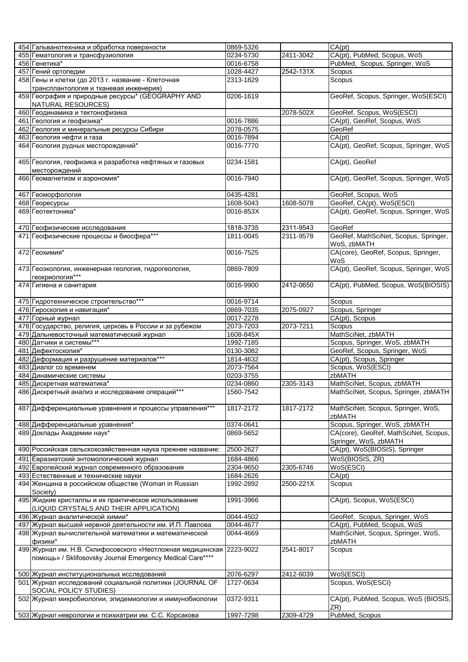| 454 Гальванотехника и обработка поверхности                          | 0869-5326 |           | CA(pt)                                |
|----------------------------------------------------------------------|-----------|-----------|---------------------------------------|
| 455 Гематология и трансфузиология                                    | 0234-5730 | 2411-3042 | CA(pt), PubMed, Scopus, WoS           |
| 456 Генетика*                                                        | 0016-6758 |           | PubMed, Scopus, Springer, WoS         |
| 457 Гений ортопедии                                                  | 1028-4427 | 2542-131X | Scopus                                |
| 458 Гены и клетки (до 2013 г. название - Клеточная                   | 2313-1829 |           | Scopus                                |
|                                                                      |           |           |                                       |
| трансплантология и тканевая инженерия)                               |           |           |                                       |
| 459 География и природные ресурсы* (GEOGRAPHY AND                    | 0206-1619 |           | GeoRef, Scopus, Springer, WoS(ESCI)   |
| NATURAL RESOURCES)                                                   |           |           |                                       |
| 460 Геодинамика и тектонофизика                                      |           | 2078-502X | GeoRef, Scopus, WoS(ESCI)             |
| 461 Геология и геофизика*                                            | 0016-7886 |           | CA(pt), GeoRef, Scopus, WoS           |
| 462 Геология и минеральные ресурсы Сибири                            | 2078-0575 |           | GeoRef                                |
| 463 Геология нефти и газа                                            | 0016-7894 |           | CA(pt)                                |
| 464 Геология рудных месторождений*                                   | 0016-7770 |           | CA(pt), GeoRef, Scopus, Springer, WoS |
|                                                                      |           |           |                                       |
| 465 Геология, геофизика и разработка нефтяных и газовых              | 0234-1581 |           | CA(pt), GeoRef                        |
| месторождений                                                        |           |           |                                       |
| 466 Геомагнетизм и аэрономия*                                        | 0016-7940 |           | CA(pt), GeoRef, Scopus, Springer, WoS |
|                                                                      |           |           |                                       |
|                                                                      |           |           |                                       |
| 467 Геоморфология                                                    | 0435-4281 |           | GeoRef, Scopus, WoS                   |
| 468 Георесурсы                                                       | 1608-5043 | 1608-5078 | GeoRef, CA(pt), WoS(ESCI)             |
| 469 Геотектоника*                                                    | 0016-853X |           | CA(pt), GeoRef, Scopus, Springer, WoS |
|                                                                      |           |           |                                       |
| 470 Геофизические исследования                                       | 1818-3735 | 2311-9543 | GeoRef                                |
| 471 Геофизические процессы и биосфера***                             | 1811-0045 | 2311-9578 | GeoRef, MathSciNet, Scopus, Springer, |
|                                                                      |           |           | WoS, zbMATH                           |
| 472 Геохимия*                                                        | 0016-7525 |           | CA(core), GeoRef, Scopus, Springer,   |
|                                                                      |           |           | WoS                                   |
|                                                                      | 0869-7809 |           | CA(pt), GeoRef, Scopus, Springer, WoS |
| 473 Геоэкология, инженерная геология, гидрогеология,                 |           |           |                                       |
| геокриология***                                                      |           |           |                                       |
| 474 Гигиена и санитария                                              | 0016-9900 | 2412-0650 | CA(pt), PubMed, Scopus, WoS(BIOSIS)   |
|                                                                      |           |           |                                       |
| 475 Гидротехническое строительство***                                | 0016-9714 |           | Scopus                                |
| 476 Гироскопия и навигация*                                          | 0869-7035 | 2075-0927 | Scopus, Springer                      |
| 477 Горный журнал                                                    | 0017-2278 |           | CA(pt), Scopus                        |
| 478 Государство, религия, церковь в России и за рубежом              | 2073-7203 | 2073-7211 | Scopus                                |
| 479 Дальневосточный математический журнал                            | 1608-845X |           | MathSciNet, zbMATH                    |
| 480 Датчики и системы***                                             | 1992-7185 |           | Scopus, Springer, WoS, zbMATH         |
| 481 Дефектоскопия*                                                   | 0130-3082 |           | GeoRef, Scopus, Springer, WoS         |
| 482 Деформация и разрушение материалов***                            |           |           | CA(pt), Scopus, Springer              |
|                                                                      | 1814-4632 |           |                                       |
|                                                                      |           |           | Scopus, WoS(ESCI)                     |
| 483 Диалог со временем                                               | 2073-7564 |           |                                       |
| 484 Динамические системы                                             | 0203-3755 |           | zbMATH                                |
| 485 Дискретная математика*                                           | 0234-0860 | 2305-3143 | MathSciNet, Scopus, zbMATH            |
| 486 Дискретный анализ и исследование операций***                     | 1560-7542 |           | MathSciNet, Scopus, Springer, zbMATH  |
|                                                                      |           |           |                                       |
| 487 Дифференциальные уравнения и процессы управления***              | 1817-2172 | 1817-2172 | MathSciNet, Scopus, Springer, WoS,    |
|                                                                      |           |           | zbMATH                                |
|                                                                      |           |           |                                       |
| 488 Дифференциальные уравнения*                                      | 0374-0641 |           | Scopus, Springer, WoS, zbMATH         |
| 489 Доклады Академии наук*                                           | 0869-5652 |           | CA(core), GeoRef, MathSciNet, Scopus, |
|                                                                      |           |           | Springer, WoS, zbMATH                 |
| 490 Российская сельскохозяйственная наука прежнее название:          | 2500-2627 |           | CA(pt), WoS(BIOSIS), Springer         |
| 491 Евразиатский энтомологический журнал                             | 1684-4866 |           | WoS(BIOSIS, ZR)                       |
| 492 Европейский журнал современного образования                      | 2304-9650 | 2305-6746 | WoS(ESCI)                             |
| 493 Естественные и технические науки                                 | 1684-2626 |           | CA(pt)                                |
| 494 Женщина в российском обществе (Woman in Russian                  | 1992-2892 | 2500-221X | Scopus                                |
| Society)                                                             |           |           |                                       |
| 495 Жидкие кристаллы и их практическое использование                 | 1991-3966 |           | CA(pt), Scopus, WoS(ESCI)             |
|                                                                      |           |           |                                       |
| (LIQUID CRYSTALS AND THEIR APPLICATION)                              |           |           |                                       |
| 496 Журнал аналитической химии*                                      | 0044-4502 |           | GeoRef, Scopus, Springer, WoS         |
| 497 Журнал высшей нервной деятельности им. И.П. Павлова              | 0044-4677 |           | CA(pt), PubMed, Scopus, WoS           |
| 498 Журнал вычислительной математики и математической                | 0044-4669 |           | MathSciNet, Scopus, Springer, WoS,    |
| физики*                                                              |           |           | zbMATH                                |
| 499 Журнал им. Н.В. Склифосовского «Неотложная медицинская 2223-9022 |           | 2541-8017 | Scopus                                |
| помощь» / Sklifosovsky Journal Emergency Medical Care****            |           |           |                                       |
|                                                                      |           |           |                                       |
| 500 Журнал институциональных исследований                            | 2076-6297 | 2412-6039 | WoS(ESCI)                             |
| 501 Журнал исследований социальной политики (JOURNAL OF              | 1727-0634 |           | Scopus, WoS(ESCI)                     |
| <b>SOCIAL POLICY STUDIES)</b>                                        |           |           |                                       |
| 502 Журнал микробиологии, эпидемиологии и иммунобиологии             | 0372-9311 |           | CA(pt), PubMed, Scopus, WoS (BIOSIS,  |
| 503 Журнал неврологии и психиатрии им. С.С. Корсакова                |           |           | ZR)                                   |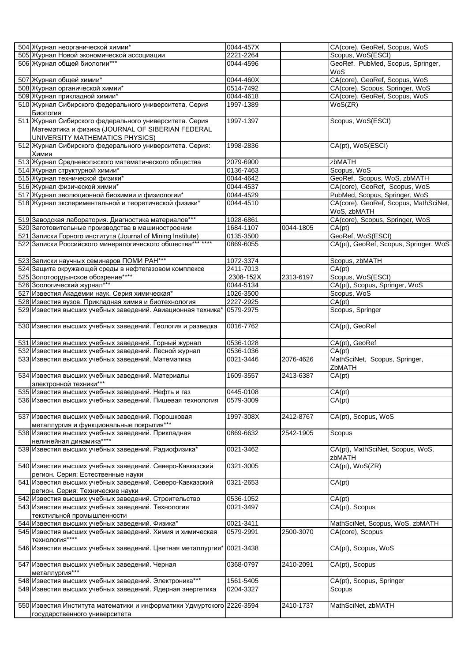| 504 Журнал неорганической химии*                                                                                                              | 0044-457X |           | CA(core), GeoRef, Scopus, WoS              |
|-----------------------------------------------------------------------------------------------------------------------------------------------|-----------|-----------|--------------------------------------------|
| 505 Журнал Новой экономической ассоциации                                                                                                     | 2221-2264 |           | Scopus, WoS(ESCI)                          |
| 506 Журнал общей биологии***                                                                                                                  | 0044-4596 |           | GeoRef, PubMed, Scopus, Springer,          |
|                                                                                                                                               |           |           | WoS                                        |
| 507 Журнал общей химии*                                                                                                                       | 0044-460X |           | CA(core), GeoRef, Scopus, WoS              |
| 508 Журнал органической химии*                                                                                                                | 0514-7492 |           | CA(core), Scopus, Springer, WoS            |
| 509 Журнал прикладной химии*                                                                                                                  | 0044-4618 |           | CA(core), GeoRef, Scopus, WoS              |
| 510 Журнал Сибирского федерального университета. Серия                                                                                        | 1997-1389 |           | WoS(ZR)                                    |
| Биология                                                                                                                                      |           |           |                                            |
| 511 Журнал Сибирского федерального университета. Серия<br>Математика и физика (JOURNAL OF SIBERIAN FEDERAL<br>UNIVERSITY MATHEMATICS PHYSICS) | 1997-1397 |           | Scopus, WoS(ESCI)                          |
| 512 Журнал Сибирского федерального университета. Серия:<br>Химия                                                                              | 1998-2836 |           | CA(pt), WoS(ESCI)                          |
| 513 Журнал Средневолжского математического общества                                                                                           | 2079-6900 |           | zbMATH                                     |
| 514 Журнал структурной химии*                                                                                                                 | 0136-7463 |           | Scopus, WoS                                |
| 515 Журнал технической физики*                                                                                                                | 0044-4642 |           | GeoRef, Scopus, WoS, zbMATH                |
| 516 Журнал физической химии*                                                                                                                  | 0044-4537 |           | CA(core), GeoRef, Scopus, WoS              |
| 517 Журнал эволюционной биохимии и физиологии*                                                                                                | 0044-4529 |           | PubMed, Scopus, Springer, WoS              |
|                                                                                                                                               |           |           | CA(core), GeoRef, Scopus, MathSciNet,      |
| 518 Журнал экспериментальной и теоретической физики*                                                                                          | 0044-4510 |           | WoS, zbMATH                                |
| 519 Заводская лаборатория. Диагностика материалов***                                                                                          | 1028-6861 |           | CA(core), Scopus, Springer, WoS            |
| 520 Заготовительные производства в машиностроении                                                                                             | 1684-1107 | 0044-1805 | $\overline{CA}$ (pt)                       |
| 521 Записки Горного института (Journal of Mining Institute)                                                                                   | 0135-3500 |           | GeoRef, WoS(ESCI)                          |
| 522 Записки Российского минералогического общества*** ****                                                                                    | 0869-6055 |           | CA(pt), GeoRef, Scopus, Springer, WoS      |
| 523 Записки научных семинаров ПОМИ РАН***                                                                                                     | 1072-3374 |           | Scopus, zbMATH                             |
| 524 Защита окружающей среды в нефтегазовом комплексе                                                                                          | 2411-7013 |           | CA(pt)                                     |
| 525 Золотоордынское обозрение****                                                                                                             | 2308-152X | 2313-6197 | Scopus, WoS(ESCI)                          |
| 526 Зоологический журнал***                                                                                                                   | 0044-5134 |           | CA(pt), Scopus, Springer, WoS              |
| 527 Известия Академии наук. Серия химическая*                                                                                                 | 1026-3500 |           | Scopus, WoS                                |
| 528 Известия вузов. Прикладная химия и биотехнология                                                                                          | 2227-2925 |           | $\overline{CA(pt)}$                        |
| 529 Известия высших учебных заведений. Авиационная техника* 0579-2975                                                                         |           |           | Scopus, Springer                           |
| 530 Известия высших учебных заведений. Геология и разведка                                                                                    | 0016-7762 |           | CA(pt), GeoRef                             |
| 531 Известия высших учебных заведений. Горный журнал                                                                                          | 0536-1028 |           | CA(pt), GeoRef                             |
| 532 Известия высших учебных заведений. Лесной журнал                                                                                          | 0536-1036 |           | CA(pt)                                     |
| 533 Известия высших учебных заведений. Математика                                                                                             | 0021-3446 | 2076-4626 | MathSciNet, Scopus, Springer,              |
| 534 Известия высших учебных заведений. Материалы                                                                                              | 1609-3557 | 2413-6387 | ZbMATH<br>CA(pt)                           |
| электронной техники***                                                                                                                        |           |           |                                            |
| 535 Известия высших учебных заведений. Нефть и газ                                                                                            | 0445-0108 |           | CA(pt)                                     |
| 536 Известия высших учебных заведений. Пищевая технология                                                                                     | 0579-3009 |           | CA(pt)                                     |
| 537 Известия высших учебных заведений. Порошковая                                                                                             | 1997-308X | 2412-8767 | CA(pt), Scopus, WoS                        |
| металлургия и функциональные покрытия***                                                                                                      |           |           |                                            |
| 538 Известия высших учебных заведений. Прикладная<br>нелинейная динамика****                                                                  | 0869-6632 | 2542-1905 | Scopus                                     |
| 539 Известия высших учебных заведений. Радиофизика*                                                                                           | 0021-3462 |           | CA(pt), MathSciNet, Scopus, WoS,<br>zbMATH |
| 540 Известия высших учебных заведений. Северо-Кавказский<br>регион. Серия: Естественные науки                                                 | 0321-3005 |           | CA(pt), WoS(ZR)                            |
| 541 Известия высших учебных заведений. Северо-Кавказский<br>регион. Серия: Технические науки                                                  | 0321-2653 |           | CA(pt)                                     |
| 542 Известия высших учебных заведений. Строительство                                                                                          | 0536-1052 |           | CA(pt)                                     |
| 543 Известия высших учебных заведений. Технология                                                                                             | 0021-3497 |           | CA(pt). Scopus                             |
| текстильной промышленности                                                                                                                    |           |           |                                            |
| 544 Известия высших учебных заведений. Физика*                                                                                                | 0021-3411 |           | MathSciNet, Scopus, WoS, zbMATH            |
| 545 Известия высших учебных заведений. Химия и химическая<br>технология****                                                                   | 0579-2991 | 2500-3070 | CA(core), Scopus                           |
| 546 Известия высших учебных заведений. Цветная металлургия*                                                                                   | 0021-3438 |           | CA(pt), Scopus, WoS                        |
| 547 Известия высших учебных заведений. Черная<br>металлургия***                                                                               | 0368-0797 | 2410-2091 | CA(pt), Scopus                             |
| 548 Известия высших учебных заведений. Электроника***                                                                                         | 1561-5405 |           | CA(pt), Scopus, Springer                   |
| 549 Известия высших учебных заведений. Ядерная энергетика                                                                                     | 0204-3327 |           | Scopus                                     |
| 550 Известия Института математики и информатики Удмуртского 2226-3594                                                                         |           | 2410-1737 | MathSciNet, zbMATH                         |
|                                                                                                                                               |           |           |                                            |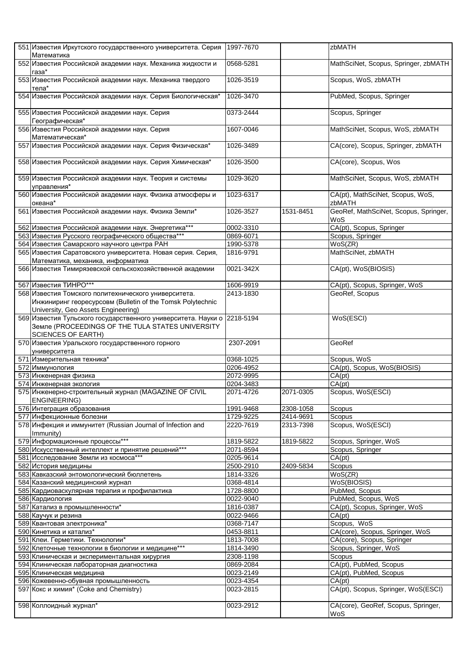| 551 Известия Иркутского государственного университета. Серия 1997-7670<br>Математика                                                                      |           |           | zbMATH                                       |
|-----------------------------------------------------------------------------------------------------------------------------------------------------------|-----------|-----------|----------------------------------------------|
| 552 Известия Российской академии наук. Механика жидкости и<br>газа*                                                                                       | 0568-5281 |           | MathSciNet, Scopus, Springer, zbMATH         |
| 553 Известия Российской академии наук. Механика твердого<br>тела*                                                                                         | 1026-3519 |           | Scopus, WoS, zbMATH                          |
| 554 Известия Российской академии наук. Серия Биологическая*                                                                                               | 1026-3470 |           | PubMed, Scopus, Springer                     |
| 555 Известия Российской академии наук. Серия<br>Географическая*                                                                                           | 0373-2444 |           | Scopus, Springer                             |
| 556 Известия Российской академии наук. Серия<br>Математическая*                                                                                           | 1607-0046 |           | MathSciNet, Scopus, WoS, zbMATH              |
| 557 Известия Российской академии наук. Серия Физическая*                                                                                                  | 1026-3489 |           | CA(core), Scopus, Springer, zbMATH           |
| 558 Известия Российской академии наук. Серия Химическая*                                                                                                  | 1026-3500 |           | CA(core), Scopus, Wos                        |
| 559 Известия Российской академии наук. Теория и системы<br>управления*                                                                                    | 1029-3620 |           | MathSciNet, Scopus, WoS, zbMATH              |
| 560 Известия Российской академии наук. Физика атмосферы и<br>океана*                                                                                      | 1023-6317 |           | CA(pt), MathSciNet, Scopus, WoS,<br>zbMATH   |
| 561 Известия Российской академии наук. Физика Земли*                                                                                                      | 1026-3527 | 1531-8451 | GeoRef, MathSciNet, Scopus, Springer,<br>WoS |
| 562 Известия Российской академии наук. Энергетика***                                                                                                      | 0002-3310 |           | CA(pt), Scopus, Springer                     |
| 563 Известия Русского географического общества***                                                                                                         | 0869-6071 |           | Scopus, Springer                             |
| 564 Известия Самарского научного центра РАН                                                                                                               | 1990-5378 |           | WoS(ZR)                                      |
| 565 Известия Саратовского университета. Новая серия. Серия,                                                                                               | 1816-9791 |           | MathSciNet, zbMATH                           |
| Математика, механика, информатика                                                                                                                         |           |           |                                              |
| 566 Известия Тимирязевской сельскохозяйственной академии                                                                                                  | 0021-342X |           | CA(pt), WoS(BIOSIS)                          |
| 567 Известия ТИНРО***                                                                                                                                     | 1606-9919 |           | CA(pt), Scopus, Springer, WoS                |
| 568 Известия Томского политехнического университета.<br>Инжиниринг георесурсовм (Bulletin of the Tomsk Polytechnic<br>University, Geo Assets Engineering) | 2413-1830 |           | GeoRef, Scopus                               |
| 569 Известия Тульского государственного университета. Науки о 2218-5194<br>Земле (PROCEEDINGS OF THE TULA STATES UNIVERSITY<br><b>SCIENCES OF EARTH)</b>  |           |           | WoS(ESCI)                                    |
| 570 Известия Уральского государственного горного<br>университета                                                                                          | 2307-2091 |           | GeoRef                                       |
| 571 Измерительная техника*                                                                                                                                | 0368-1025 |           | Scopus, WoS                                  |
| 572 Иммунология                                                                                                                                           | 0206-4952 |           | CA(pt), Scopus, WoS(BIOSIS)                  |
| 573 Инженерная физика                                                                                                                                     | 2072-9995 |           | CA(pt)                                       |
| 574 Инженерная экология                                                                                                                                   | 0204-3483 |           | CA(pt)                                       |
| 575 Инженерно-строительный журнал (MAGAZINE OF CIVIL<br><b>ENGINEERING)</b>                                                                               | 2071-4726 | 2071-0305 | Scopus, WoS(ESCI)                            |
| 576 Интеграция образования                                                                                                                                | 1991-9468 | 2308-1058 | Scopus                                       |
| 577 Инфекционные болезни                                                                                                                                  | 1729-9225 | 2414-9691 | Scopus                                       |
| 578 Инфекция и иммунитет (Russian Journal of Infection and<br>Immunity)                                                                                   | 2220-7619 | 2313-7398 | Scopus, WoS(ESCI)                            |
| 579 Информационные процессы***                                                                                                                            | 1819-5822 | 1819-5822 | Scopus, Springer, WoS                        |
| 580 Искусственный интеллект и принятие решений***                                                                                                         | 2071-8594 |           | Scopus, Springer                             |
| 581 Исследование Земли из космоса***                                                                                                                      | 0205-9614 |           | CA(pt)                                       |
| 582 История медицины                                                                                                                                      | 2500-2910 | 2409-5834 | Scopus                                       |
| 583 Кавказский энтомологический бюллетень                                                                                                                 | 1814-3326 |           | WoS(ZR)                                      |
| 584 Казанский медицинский журнал                                                                                                                          | 0368-4814 |           | WoS(BIOSIS)                                  |
| 585 Кардиоваскулярная терапия и профилактика                                                                                                              | 1728-8800 |           | PubMed, Scopus                               |
| 586 Кардиология                                                                                                                                           | 0022-9040 |           | PubMed, Scopus, WoS                          |
| 587 Катализ в промышленности*                                                                                                                             | 1816-0387 |           | CA(pt), Scopus, Springer, WoS                |
|                                                                                                                                                           |           |           |                                              |
| 588 Каучук и резина                                                                                                                                       | 0022-9466 |           | CA(pt)<br>Scopus, WoS                        |
| 589 Квантовая электроника*                                                                                                                                | 0368-7147 |           |                                              |
| 590 Кинетика и катализ*                                                                                                                                   | 0453-8811 |           | CA(core), Scopus, Springer, WoS              |
| 591 Клеи. Герметики. Технологии*                                                                                                                          | 1813-7008 |           | CA(core), Scopus, Springer                   |
| 592 Клеточные технологии в биологии и медицине***                                                                                                         | 1814-3490 |           | Scopus, Springer, WoS                        |
| 593 Клиническая и экспериментальная хирургия                                                                                                              | 2308-1198 |           | Scopus                                       |
| 594 Клиническая лабораторная диагностика                                                                                                                  | 0869-2084 |           | CA(pt), PubMed, Scopus                       |
| 595 Клиническая медицина                                                                                                                                  | 0023-2149 |           | CA(pt), PubMed, Scopus                       |
|                                                                                                                                                           |           |           |                                              |
| 596 Кожевенно-обувная промышленность                                                                                                                      | 0023-4354 |           | CA(pt)                                       |
| 597 Кокс и химия* (Coke and Chemistry)                                                                                                                    | 0023-2815 |           | CA(pt), Scopus, Springer, WoS(ESCI)          |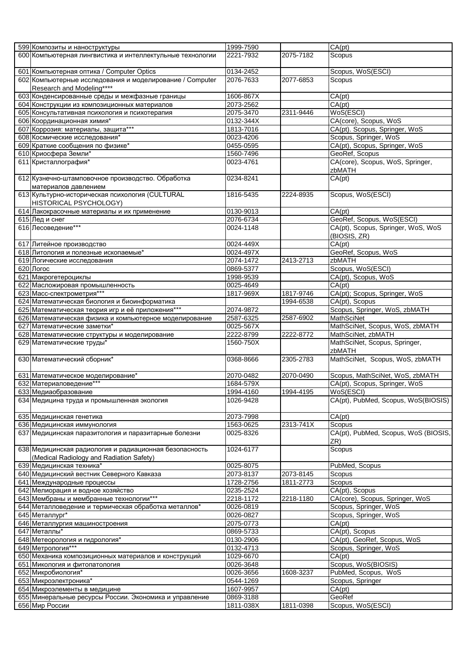| 599 Композиты и наноструктуры                                                         | 1999-7590              |           | CA(pt)                                                |
|---------------------------------------------------------------------------------------|------------------------|-----------|-------------------------------------------------------|
| 600 Компьютерная лингвистика и интеллектульные технологии                             | 2221-7932              | 2075-7182 | Scopus                                                |
|                                                                                       |                        |           |                                                       |
| 601 Компьютерная оптика / Computer Optics                                             | 0134-2452              |           | Scopus, WoS(ESCI)                                     |
| 602 Компьютерные исследования и моделирование / Computer                              | 2076-7633              | 2077-6853 | Scopus                                                |
| Research and Modeling****                                                             |                        |           |                                                       |
| 603 Конденсированные среды и межфазные границы                                        | 1606-867X              |           | CA(pt)                                                |
| 604 Конструкции из композиционных материалов                                          | 2073-2562              |           | CA(pt)                                                |
| 605 Консультативная психология и психотерапия                                         | 2075-3470              | 2311-9446 | WoS(ESCI)                                             |
| 606 Координационная химия*                                                            | 0132-344X              |           | CA(core), Scopus, WoS                                 |
| 607 Коррозия: материалы, защита***                                                    | 1813-7016              |           | CA(pt). Scopus, Springer, WoS                         |
| 608 Космические исследования*                                                         | 0023-4206              |           | Scopus, Springer, WoS                                 |
| 609 Краткие сообщения по физике*                                                      | 0455-0595              |           | CA(pt), Scopus, Springer, WoS                         |
| 610 Криосфера Земли*                                                                  | 1560-7496<br>0023-4761 |           | GeoRef, Scopus<br>CA(core), Scopus, WoS, Springer,    |
| 611 Кристаллография*                                                                  |                        |           | zbMATH                                                |
| 612 Кузнечно-штамповочное производство. Обработка<br>материалов давлением             | 0234-8241              |           | CA(pt)                                                |
| 613 Культурно-историческая психология (CULTURAL                                       | 1816-5435              | 2224-8935 | Scopus, WoS(ESCI)                                     |
| HISTORICAL PSYCHOLOGY)                                                                |                        |           |                                                       |
| 614 Лакокрасочные материалы и их применение                                           | 0130-9013              |           | CA(pt)                                                |
| 615 Лед и снег                                                                        | 2076-6734              |           | GeoRef, Scopus, WoS(ESCI)                             |
| 616 Лесоведение***                                                                    | 0024-1148              |           | CA(pt), Scopus, Springer, WoS, WoS                    |
|                                                                                       |                        |           | (BIOSIS, ZR)                                          |
| 617 Литейное производство                                                             | 0024-449X              |           | CA(pt)                                                |
| 618 Литология и полезные ископаемые*                                                  | 0024-497X              |           | GeoRef, Scopus, WoS                                   |
| 619 Логические исследования                                                           | 2074-1472              | 2413-2713 | zbMATH                                                |
| 620 Jloroc                                                                            | 0869-5377              |           | Scopus, WoS(ESCI)                                     |
| 621 Макрогетероциклы                                                                  | 1998-9539              |           | CA(pt), Scopus, WoS                                   |
| 622 Масложировая промышленность                                                       | 0025-4649              |           | CA(pt)                                                |
| 623 Масс-спектрометрия***                                                             | 1817-969X              | 1817-9746 | CA(pt); Scopus, Springer, WoS                         |
| 624 Математическая биология и биоинформатика                                          |                        | 1994-6538 | CA(pt), Scopus                                        |
| 625 Математическая теория игр и её приложения***                                      | 2074-9872              |           | Scopus, Springer, WoS, zbMATH<br><b>MathSciNet</b>    |
| 626 Математическая физика и компьютерное моделирование<br>627 Математические заметки* | 2587-6325<br>0025-567X | 2587-6902 |                                                       |
| 628 Математические структуры и моделирование                                          | 2222-8799              | 2222-8772 | MathSciNet, Scopus, WoS, zbMATH<br>MathSciNet, zbMATH |
| 629 Математические труды*                                                             | 1560-750X              |           | MathSciNet, Scopus, Springer,                         |
|                                                                                       |                        |           | zbMATH                                                |
| 630 Математический сборник*                                                           | 0368-8666              | 2305-2783 | MathSciNet, Scopus, WoS, zbMATH                       |
|                                                                                       | 2070-0482              | 2070-0490 | Scopus, MathSciNet, WoS, zbMATH                       |
| 631 Математическое моделирование*<br>632 Материаловедение***                          | 1684-579X              |           | CA(pt), Scopus, Springer, WoS                         |
| 633 Медиаобразование                                                                  | 1994-4160              | 1994-4195 | WoS(ESCI)                                             |
| 634 Медицина труда и промышленная экология                                            | 1026-9428              |           | CA(pt), PubMed, Scopus, WoS(BIOSIS)                   |
|                                                                                       |                        |           |                                                       |
| 635 Медицинская генетика                                                              | 2073-7998              |           | CA(pt)                                                |
| 636 Медицинская иммунология                                                           | 1563-0625              |           |                                                       |
|                                                                                       |                        | 2313-741X | Scopus                                                |
| 637 Медицинская паразитология и паразитарные болезни                                  | 0025-8326              |           | CA(pt), PubMed, Scopus, WoS (BIOSIS,<br>ZR)           |
| 638 Медицинская радиология и радиационная безопасность                                | 1024-6177              |           | Scopus                                                |
| (Medical Radiology and Radiation Safety)                                              |                        |           |                                                       |
| 639 Медицинская техника*                                                              | 0025-8075              |           | PubMed, Scopus                                        |
| 640 Медицинский вестник Северного Кавказа                                             | 2073-8137              | 2073-8145 | Scopus                                                |
| 641 Международные процессы                                                            | 1728-2756              | 1811-2773 | Scopus                                                |
| 642 Мелиорация и водное хозяйство                                                     | 0235-2524              |           | CA(pt), Scopus                                        |
| 643 Мембраны и мембранные технологии***                                               | 2218-1172              | 2218-1180 | CA(core), Scopus, Springer, WoS                       |
| 644 Металловедение и термическая обработка металлов*<br>645 Металлург*                | 0026-0819<br>0026-0827 |           | Scopus, Springer, WoS                                 |
| 646 Металлургия машиностроения                                                        | 2075-0773              |           | Scopus, Springer, WoS<br>CA(pt)                       |
| 647 Металлы*                                                                          | 0869-5733              |           | CA(pt), Scopus                                        |
| 648 Метеорология и гидрология*                                                        | 0130-2906              |           | CA(pt), GeoRef, Scopus, WoS                           |
| 649 Метрология***                                                                     | 0132-4713              |           | Scopus, Springer, WoS                                 |
| 650 Механика композиционных материалов и конструкций                                  | 1029-6670              |           | CA(pt)                                                |
| 651 Микология и фитопатология                                                         | 0026-3648              |           | Scopus, WoS(BIOSIS)                                   |
| 652 Микробиология*                                                                    | 0026-3656              | 1608-3237 | PubMed, Scopus, WoS                                   |
| 653 Микроэлектроника*                                                                 | 0544-1269              |           | Scopus, Springer                                      |
| 654 Микроэлементы в медицине                                                          | 1607-9957              |           | CA(pt)                                                |
| 655 Минеральные ресурсы России. Экономика и управление<br>656 Мир России              | 0869-3188<br>1811-038X | 1811-0398 | GeoRef<br>Scopus, WoS(ESCI)                           |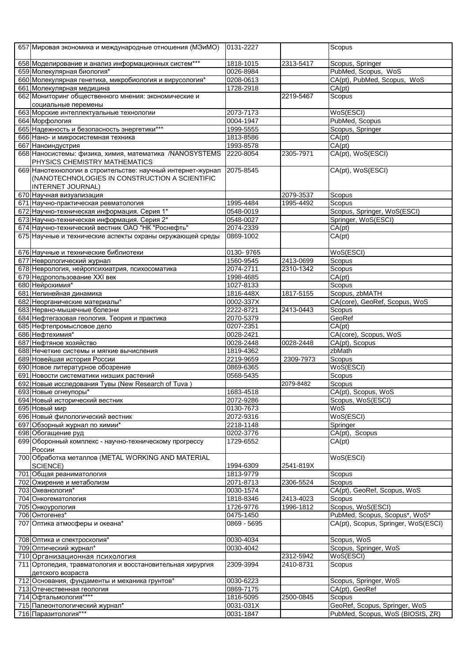| 658 Моделирование и анализ информационных систем***<br>1818-1015<br>2313-5417<br>Scopus, Springer<br>PubMed, Scopus, WoS<br>659 Молекулярная биология*<br>0026-8984<br>CA(pt), PubMed, Scopus, WoS<br>660 Молекулярная генетика, микробиология и вирусология*<br>0208-0613<br>1728-2918<br>CA(pt)<br>661 Молекулярная медицина<br>2219-5467<br>662 Мониторинг общественного мнения: экономические и<br>Scopus<br>социальные перемены<br>2073-7173<br>WoS(ESCI)<br>663 Морские интеллектуальные технологии<br>0004-1947<br>PubMed, Scopus<br>664 Морфология<br>665 Надежность и безопасность энергетики***<br>1999-5555<br>Scopus, Springer<br>1813-8586<br>CA(pt)<br>666 Нано- и микросистемная техника<br>CA(pt)<br>1993-8578<br>667 Наноиндустрия<br>CA(pt), WoS(ESCI)<br>668 Наносистемы: физика, химия, математика /NANOSYSTEMS<br>2220-8054<br>2305-7971<br>PHYSICS CHEMISTRY MATHEMATICS<br>669 Нанотехнологии в строительстве: научный интернет-журнал 2075-8545<br>CA(pt), WoS(ESCI)<br>(NANOTECHNOLOGIES IN CONSTRUCTION A SCIENTIFIC<br><b>INTERNET JOURNAL)</b><br>670 Научная визуализация<br>2079-3537<br>Scopus<br>671 Научно-практическая ревматология<br>1995-4484<br>1995-4492<br>Scopus<br>672 Научно-техническая информация. Серия 1*<br>Scopus, Springer, WoS(ESCI)<br>0548-0019<br>673 Научно-техническая информация. Серия 2*<br>Springer, WoS(ESCI)<br>0548-0027<br>674 Научно-технический вестник ОАО "НК "Роснефть"<br>CA(pt)<br>2074-2339<br>CA(pt)<br>675 Научные и технические аспекты охраны окружающей среды<br>0869-1002<br>WoS(ESCI)<br>676 Научные и технические библиотеки<br>0130-9765<br>677 Неврологический журнал<br>1560-9545<br>2413-0699<br>Scopus<br>678 Неврология, нейропсихиатрия, психосоматика<br>2074-2711<br>2310-1342<br>Scopus<br>679 Недропользование XXI век<br>CA(pt)<br>1998-4685<br>680 Нейрохимия*<br>Scopus<br>1027-8133<br>Scopus, zbMATH<br>681 Нелинейная динамика<br>1816-448X<br>1817-5155<br>CA(core), GeoRef, Scopus, WoS<br>0002-337X<br>682 Неорганические материалы*<br>2222-8721<br>2413-0443<br>Scopus<br>683 Нервно-мышечные болезни<br>684 Нефтегазовая геология. Теория и практика<br>2070-5379<br>GeoRef<br>CA(pt)<br>0207-2351<br>685 Нефтепромысловое дело<br>CA(core), Scopus, WoS<br>$0028 - 2421$<br>686 Нефтехимия*<br>0028-2448<br>0028-2448<br>CA(pt), Scopus<br>687 Нефтяное хозяйство<br>688 Нечеткие системы и мягкие вычисления<br>1819-4362<br>zbMath<br>689 Новейшая история России<br>2219-9659<br>2309-7973<br>Scopus<br>WoS(ESCI)<br>690 Новое литературное обозрение<br>0869-6365<br>Scopus<br>691 Новости систематики низших растений<br>0568-5435<br>692 Новые исследования Тувы (New Research of Tuva)<br>2079-8482<br>Scopus<br>CA(pt), Scopus, WoS<br>693 Новые огнеупоры*<br>1683-4518<br>2072-9286<br>Scopus, WoS(ESCI)<br>694 Новый исторический вестник<br>WoS<br>0130-7673<br>695 Новый мир<br>WoS(ESCI)<br>696 Новый филологический вестник<br>2072-9316<br>697 Обзорный журнал по химии*<br>2218-1148<br>Springer<br>CA(pt), Scopus<br>0202-3776<br>698 Обогащение руд<br>699 Оборонный комплекс - научно-техническому прогрессу<br>1729-6552<br>CA(pt)<br>России<br>700 Обработка металлов (METAL WORKING AND MATERIAL<br>WoS(ESCI)<br>1994-6309<br>2541-819X<br><b>SCIENCE)</b><br>1813-9779<br>701 Общая реаниматология<br>Scopus<br>702 Ожирение и метаболизм<br>2071-8713<br>2306-5524<br>Scopus<br>703 Океанология*<br>0030-1574<br>CA(pt), GeoRef, Scopus, WoS<br>1818-8346<br>2413-4023<br>704 Онкогематология<br>Scopus<br>Scopus, WoS(ESCI)<br>705 Онкоурология<br>1726-9776<br>1996-1812<br>PubMed, Scopus, Scopus*, WoS*<br>706 Онтогенез*<br>0475-1450<br>707 Оптика атмосферы и океана*<br>0869 - 5695<br>CA(pt), Scopus, Springer, WoS(ESCI)<br>Scopus, WoS<br>708 Оптика и спектроскопия*<br>0030-4034<br>Scopus, Springer, WoS<br>709 Оптический журнал*<br>0030-4042<br>2312-5942<br>WoS(ESCI)<br>710 Организационная психология<br>2309-3994<br>2410-8731<br>Scopus<br>711 Ортопедия, травматология и восстановительная хирургия<br>детского возраста<br>0030-6223<br>Scopus, Springer, WoS<br>712 Основания, фундаменты и механика грунтов*<br>0869-7175<br>CA(pt), GeoRef<br>713 Отечественная геология<br>714 Офтальмология****<br>Scopus<br>1816-5095<br>2500-0845<br>715 Палеонтологический журнал*<br>GeoRef, Scopus, Springer, WoS<br>0031-031X<br>716 Паразитология***<br>PubMed, Scopus, WoS (BIOSIS, ZR)<br>0031-1847 | 657 Мировая экономика и международные отношения (МЭиМО) 0131-2227 |  | Scopus |
|------------------------------------------------------------------------------------------------------------------------------------------------------------------------------------------------------------------------------------------------------------------------------------------------------------------------------------------------------------------------------------------------------------------------------------------------------------------------------------------------------------------------------------------------------------------------------------------------------------------------------------------------------------------------------------------------------------------------------------------------------------------------------------------------------------------------------------------------------------------------------------------------------------------------------------------------------------------------------------------------------------------------------------------------------------------------------------------------------------------------------------------------------------------------------------------------------------------------------------------------------------------------------------------------------------------------------------------------------------------------------------------------------------------------------------------------------------------------------------------------------------------------------------------------------------------------------------------------------------------------------------------------------------------------------------------------------------------------------------------------------------------------------------------------------------------------------------------------------------------------------------------------------------------------------------------------------------------------------------------------------------------------------------------------------------------------------------------------------------------------------------------------------------------------------------------------------------------------------------------------------------------------------------------------------------------------------------------------------------------------------------------------------------------------------------------------------------------------------------------------------------------------------------------------------------------------------------------------------------------------------------------------------------------------------------------------------------------------------------------------------------------------------------------------------------------------------------------------------------------------------------------------------------------------------------------------------------------------------------------------------------------------------------------------------------------------------------------------------------------------------------------------------------------------------------------------------------------------------------------------------------------------------------------------------------------------------------------------------------------------------------------------------------------------------------------------------------------------------------------------------------------------------------------------------------------------------------------------------------------------------------------------------------------------------------------------------------------------------------------------------------------------------------------------------------------------------------------------------------------------------------------------------------------------------------------------------------------------------------------------------------------------------------------------------------------------------------------------------------------------------------------------------------------------------------------------------------------------------------------------------------------------------------------------------------------------------------------------------------------------------------------------------------------------------------------------------------|-------------------------------------------------------------------|--|--------|
|                                                                                                                                                                                                                                                                                                                                                                                                                                                                                                                                                                                                                                                                                                                                                                                                                                                                                                                                                                                                                                                                                                                                                                                                                                                                                                                                                                                                                                                                                                                                                                                                                                                                                                                                                                                                                                                                                                                                                                                                                                                                                                                                                                                                                                                                                                                                                                                                                                                                                                                                                                                                                                                                                                                                                                                                                                                                                                                                                                                                                                                                                                                                                                                                                                                                                                                                                                                                                                                                                                                                                                                                                                                                                                                                                                                                                                                                                                                                                                                                                                                                                                                                                                                                                                                                                                                                                                                                                                                            |                                                                   |  |        |
|                                                                                                                                                                                                                                                                                                                                                                                                                                                                                                                                                                                                                                                                                                                                                                                                                                                                                                                                                                                                                                                                                                                                                                                                                                                                                                                                                                                                                                                                                                                                                                                                                                                                                                                                                                                                                                                                                                                                                                                                                                                                                                                                                                                                                                                                                                                                                                                                                                                                                                                                                                                                                                                                                                                                                                                                                                                                                                                                                                                                                                                                                                                                                                                                                                                                                                                                                                                                                                                                                                                                                                                                                                                                                                                                                                                                                                                                                                                                                                                                                                                                                                                                                                                                                                                                                                                                                                                                                                                            |                                                                   |  |        |
|                                                                                                                                                                                                                                                                                                                                                                                                                                                                                                                                                                                                                                                                                                                                                                                                                                                                                                                                                                                                                                                                                                                                                                                                                                                                                                                                                                                                                                                                                                                                                                                                                                                                                                                                                                                                                                                                                                                                                                                                                                                                                                                                                                                                                                                                                                                                                                                                                                                                                                                                                                                                                                                                                                                                                                                                                                                                                                                                                                                                                                                                                                                                                                                                                                                                                                                                                                                                                                                                                                                                                                                                                                                                                                                                                                                                                                                                                                                                                                                                                                                                                                                                                                                                                                                                                                                                                                                                                                                            |                                                                   |  |        |
|                                                                                                                                                                                                                                                                                                                                                                                                                                                                                                                                                                                                                                                                                                                                                                                                                                                                                                                                                                                                                                                                                                                                                                                                                                                                                                                                                                                                                                                                                                                                                                                                                                                                                                                                                                                                                                                                                                                                                                                                                                                                                                                                                                                                                                                                                                                                                                                                                                                                                                                                                                                                                                                                                                                                                                                                                                                                                                                                                                                                                                                                                                                                                                                                                                                                                                                                                                                                                                                                                                                                                                                                                                                                                                                                                                                                                                                                                                                                                                                                                                                                                                                                                                                                                                                                                                                                                                                                                                                            |                                                                   |  |        |
|                                                                                                                                                                                                                                                                                                                                                                                                                                                                                                                                                                                                                                                                                                                                                                                                                                                                                                                                                                                                                                                                                                                                                                                                                                                                                                                                                                                                                                                                                                                                                                                                                                                                                                                                                                                                                                                                                                                                                                                                                                                                                                                                                                                                                                                                                                                                                                                                                                                                                                                                                                                                                                                                                                                                                                                                                                                                                                                                                                                                                                                                                                                                                                                                                                                                                                                                                                                                                                                                                                                                                                                                                                                                                                                                                                                                                                                                                                                                                                                                                                                                                                                                                                                                                                                                                                                                                                                                                                                            |                                                                   |  |        |
|                                                                                                                                                                                                                                                                                                                                                                                                                                                                                                                                                                                                                                                                                                                                                                                                                                                                                                                                                                                                                                                                                                                                                                                                                                                                                                                                                                                                                                                                                                                                                                                                                                                                                                                                                                                                                                                                                                                                                                                                                                                                                                                                                                                                                                                                                                                                                                                                                                                                                                                                                                                                                                                                                                                                                                                                                                                                                                                                                                                                                                                                                                                                                                                                                                                                                                                                                                                                                                                                                                                                                                                                                                                                                                                                                                                                                                                                                                                                                                                                                                                                                                                                                                                                                                                                                                                                                                                                                                                            |                                                                   |  |        |
|                                                                                                                                                                                                                                                                                                                                                                                                                                                                                                                                                                                                                                                                                                                                                                                                                                                                                                                                                                                                                                                                                                                                                                                                                                                                                                                                                                                                                                                                                                                                                                                                                                                                                                                                                                                                                                                                                                                                                                                                                                                                                                                                                                                                                                                                                                                                                                                                                                                                                                                                                                                                                                                                                                                                                                                                                                                                                                                                                                                                                                                                                                                                                                                                                                                                                                                                                                                                                                                                                                                                                                                                                                                                                                                                                                                                                                                                                                                                                                                                                                                                                                                                                                                                                                                                                                                                                                                                                                                            |                                                                   |  |        |
|                                                                                                                                                                                                                                                                                                                                                                                                                                                                                                                                                                                                                                                                                                                                                                                                                                                                                                                                                                                                                                                                                                                                                                                                                                                                                                                                                                                                                                                                                                                                                                                                                                                                                                                                                                                                                                                                                                                                                                                                                                                                                                                                                                                                                                                                                                                                                                                                                                                                                                                                                                                                                                                                                                                                                                                                                                                                                                                                                                                                                                                                                                                                                                                                                                                                                                                                                                                                                                                                                                                                                                                                                                                                                                                                                                                                                                                                                                                                                                                                                                                                                                                                                                                                                                                                                                                                                                                                                                                            |                                                                   |  |        |
|                                                                                                                                                                                                                                                                                                                                                                                                                                                                                                                                                                                                                                                                                                                                                                                                                                                                                                                                                                                                                                                                                                                                                                                                                                                                                                                                                                                                                                                                                                                                                                                                                                                                                                                                                                                                                                                                                                                                                                                                                                                                                                                                                                                                                                                                                                                                                                                                                                                                                                                                                                                                                                                                                                                                                                                                                                                                                                                                                                                                                                                                                                                                                                                                                                                                                                                                                                                                                                                                                                                                                                                                                                                                                                                                                                                                                                                                                                                                                                                                                                                                                                                                                                                                                                                                                                                                                                                                                                                            |                                                                   |  |        |
|                                                                                                                                                                                                                                                                                                                                                                                                                                                                                                                                                                                                                                                                                                                                                                                                                                                                                                                                                                                                                                                                                                                                                                                                                                                                                                                                                                                                                                                                                                                                                                                                                                                                                                                                                                                                                                                                                                                                                                                                                                                                                                                                                                                                                                                                                                                                                                                                                                                                                                                                                                                                                                                                                                                                                                                                                                                                                                                                                                                                                                                                                                                                                                                                                                                                                                                                                                                                                                                                                                                                                                                                                                                                                                                                                                                                                                                                                                                                                                                                                                                                                                                                                                                                                                                                                                                                                                                                                                                            |                                                                   |  |        |
|                                                                                                                                                                                                                                                                                                                                                                                                                                                                                                                                                                                                                                                                                                                                                                                                                                                                                                                                                                                                                                                                                                                                                                                                                                                                                                                                                                                                                                                                                                                                                                                                                                                                                                                                                                                                                                                                                                                                                                                                                                                                                                                                                                                                                                                                                                                                                                                                                                                                                                                                                                                                                                                                                                                                                                                                                                                                                                                                                                                                                                                                                                                                                                                                                                                                                                                                                                                                                                                                                                                                                                                                                                                                                                                                                                                                                                                                                                                                                                                                                                                                                                                                                                                                                                                                                                                                                                                                                                                            |                                                                   |  |        |
|                                                                                                                                                                                                                                                                                                                                                                                                                                                                                                                                                                                                                                                                                                                                                                                                                                                                                                                                                                                                                                                                                                                                                                                                                                                                                                                                                                                                                                                                                                                                                                                                                                                                                                                                                                                                                                                                                                                                                                                                                                                                                                                                                                                                                                                                                                                                                                                                                                                                                                                                                                                                                                                                                                                                                                                                                                                                                                                                                                                                                                                                                                                                                                                                                                                                                                                                                                                                                                                                                                                                                                                                                                                                                                                                                                                                                                                                                                                                                                                                                                                                                                                                                                                                                                                                                                                                                                                                                                                            |                                                                   |  |        |
|                                                                                                                                                                                                                                                                                                                                                                                                                                                                                                                                                                                                                                                                                                                                                                                                                                                                                                                                                                                                                                                                                                                                                                                                                                                                                                                                                                                                                                                                                                                                                                                                                                                                                                                                                                                                                                                                                                                                                                                                                                                                                                                                                                                                                                                                                                                                                                                                                                                                                                                                                                                                                                                                                                                                                                                                                                                                                                                                                                                                                                                                                                                                                                                                                                                                                                                                                                                                                                                                                                                                                                                                                                                                                                                                                                                                                                                                                                                                                                                                                                                                                                                                                                                                                                                                                                                                                                                                                                                            |                                                                   |  |        |
|                                                                                                                                                                                                                                                                                                                                                                                                                                                                                                                                                                                                                                                                                                                                                                                                                                                                                                                                                                                                                                                                                                                                                                                                                                                                                                                                                                                                                                                                                                                                                                                                                                                                                                                                                                                                                                                                                                                                                                                                                                                                                                                                                                                                                                                                                                                                                                                                                                                                                                                                                                                                                                                                                                                                                                                                                                                                                                                                                                                                                                                                                                                                                                                                                                                                                                                                                                                                                                                                                                                                                                                                                                                                                                                                                                                                                                                                                                                                                                                                                                                                                                                                                                                                                                                                                                                                                                                                                                                            |                                                                   |  |        |
|                                                                                                                                                                                                                                                                                                                                                                                                                                                                                                                                                                                                                                                                                                                                                                                                                                                                                                                                                                                                                                                                                                                                                                                                                                                                                                                                                                                                                                                                                                                                                                                                                                                                                                                                                                                                                                                                                                                                                                                                                                                                                                                                                                                                                                                                                                                                                                                                                                                                                                                                                                                                                                                                                                                                                                                                                                                                                                                                                                                                                                                                                                                                                                                                                                                                                                                                                                                                                                                                                                                                                                                                                                                                                                                                                                                                                                                                                                                                                                                                                                                                                                                                                                                                                                                                                                                                                                                                                                                            |                                                                   |  |        |
|                                                                                                                                                                                                                                                                                                                                                                                                                                                                                                                                                                                                                                                                                                                                                                                                                                                                                                                                                                                                                                                                                                                                                                                                                                                                                                                                                                                                                                                                                                                                                                                                                                                                                                                                                                                                                                                                                                                                                                                                                                                                                                                                                                                                                                                                                                                                                                                                                                                                                                                                                                                                                                                                                                                                                                                                                                                                                                                                                                                                                                                                                                                                                                                                                                                                                                                                                                                                                                                                                                                                                                                                                                                                                                                                                                                                                                                                                                                                                                                                                                                                                                                                                                                                                                                                                                                                                                                                                                                            |                                                                   |  |        |
|                                                                                                                                                                                                                                                                                                                                                                                                                                                                                                                                                                                                                                                                                                                                                                                                                                                                                                                                                                                                                                                                                                                                                                                                                                                                                                                                                                                                                                                                                                                                                                                                                                                                                                                                                                                                                                                                                                                                                                                                                                                                                                                                                                                                                                                                                                                                                                                                                                                                                                                                                                                                                                                                                                                                                                                                                                                                                                                                                                                                                                                                                                                                                                                                                                                                                                                                                                                                                                                                                                                                                                                                                                                                                                                                                                                                                                                                                                                                                                                                                                                                                                                                                                                                                                                                                                                                                                                                                                                            |                                                                   |  |        |
|                                                                                                                                                                                                                                                                                                                                                                                                                                                                                                                                                                                                                                                                                                                                                                                                                                                                                                                                                                                                                                                                                                                                                                                                                                                                                                                                                                                                                                                                                                                                                                                                                                                                                                                                                                                                                                                                                                                                                                                                                                                                                                                                                                                                                                                                                                                                                                                                                                                                                                                                                                                                                                                                                                                                                                                                                                                                                                                                                                                                                                                                                                                                                                                                                                                                                                                                                                                                                                                                                                                                                                                                                                                                                                                                                                                                                                                                                                                                                                                                                                                                                                                                                                                                                                                                                                                                                                                                                                                            |                                                                   |  |        |
|                                                                                                                                                                                                                                                                                                                                                                                                                                                                                                                                                                                                                                                                                                                                                                                                                                                                                                                                                                                                                                                                                                                                                                                                                                                                                                                                                                                                                                                                                                                                                                                                                                                                                                                                                                                                                                                                                                                                                                                                                                                                                                                                                                                                                                                                                                                                                                                                                                                                                                                                                                                                                                                                                                                                                                                                                                                                                                                                                                                                                                                                                                                                                                                                                                                                                                                                                                                                                                                                                                                                                                                                                                                                                                                                                                                                                                                                                                                                                                                                                                                                                                                                                                                                                                                                                                                                                                                                                                                            |                                                                   |  |        |
|                                                                                                                                                                                                                                                                                                                                                                                                                                                                                                                                                                                                                                                                                                                                                                                                                                                                                                                                                                                                                                                                                                                                                                                                                                                                                                                                                                                                                                                                                                                                                                                                                                                                                                                                                                                                                                                                                                                                                                                                                                                                                                                                                                                                                                                                                                                                                                                                                                                                                                                                                                                                                                                                                                                                                                                                                                                                                                                                                                                                                                                                                                                                                                                                                                                                                                                                                                                                                                                                                                                                                                                                                                                                                                                                                                                                                                                                                                                                                                                                                                                                                                                                                                                                                                                                                                                                                                                                                                                            |                                                                   |  |        |
|                                                                                                                                                                                                                                                                                                                                                                                                                                                                                                                                                                                                                                                                                                                                                                                                                                                                                                                                                                                                                                                                                                                                                                                                                                                                                                                                                                                                                                                                                                                                                                                                                                                                                                                                                                                                                                                                                                                                                                                                                                                                                                                                                                                                                                                                                                                                                                                                                                                                                                                                                                                                                                                                                                                                                                                                                                                                                                                                                                                                                                                                                                                                                                                                                                                                                                                                                                                                                                                                                                                                                                                                                                                                                                                                                                                                                                                                                                                                                                                                                                                                                                                                                                                                                                                                                                                                                                                                                                                            |                                                                   |  |        |
|                                                                                                                                                                                                                                                                                                                                                                                                                                                                                                                                                                                                                                                                                                                                                                                                                                                                                                                                                                                                                                                                                                                                                                                                                                                                                                                                                                                                                                                                                                                                                                                                                                                                                                                                                                                                                                                                                                                                                                                                                                                                                                                                                                                                                                                                                                                                                                                                                                                                                                                                                                                                                                                                                                                                                                                                                                                                                                                                                                                                                                                                                                                                                                                                                                                                                                                                                                                                                                                                                                                                                                                                                                                                                                                                                                                                                                                                                                                                                                                                                                                                                                                                                                                                                                                                                                                                                                                                                                                            |                                                                   |  |        |
|                                                                                                                                                                                                                                                                                                                                                                                                                                                                                                                                                                                                                                                                                                                                                                                                                                                                                                                                                                                                                                                                                                                                                                                                                                                                                                                                                                                                                                                                                                                                                                                                                                                                                                                                                                                                                                                                                                                                                                                                                                                                                                                                                                                                                                                                                                                                                                                                                                                                                                                                                                                                                                                                                                                                                                                                                                                                                                                                                                                                                                                                                                                                                                                                                                                                                                                                                                                                                                                                                                                                                                                                                                                                                                                                                                                                                                                                                                                                                                                                                                                                                                                                                                                                                                                                                                                                                                                                                                                            |                                                                   |  |        |
|                                                                                                                                                                                                                                                                                                                                                                                                                                                                                                                                                                                                                                                                                                                                                                                                                                                                                                                                                                                                                                                                                                                                                                                                                                                                                                                                                                                                                                                                                                                                                                                                                                                                                                                                                                                                                                                                                                                                                                                                                                                                                                                                                                                                                                                                                                                                                                                                                                                                                                                                                                                                                                                                                                                                                                                                                                                                                                                                                                                                                                                                                                                                                                                                                                                                                                                                                                                                                                                                                                                                                                                                                                                                                                                                                                                                                                                                                                                                                                                                                                                                                                                                                                                                                                                                                                                                                                                                                                                            |                                                                   |  |        |
|                                                                                                                                                                                                                                                                                                                                                                                                                                                                                                                                                                                                                                                                                                                                                                                                                                                                                                                                                                                                                                                                                                                                                                                                                                                                                                                                                                                                                                                                                                                                                                                                                                                                                                                                                                                                                                                                                                                                                                                                                                                                                                                                                                                                                                                                                                                                                                                                                                                                                                                                                                                                                                                                                                                                                                                                                                                                                                                                                                                                                                                                                                                                                                                                                                                                                                                                                                                                                                                                                                                                                                                                                                                                                                                                                                                                                                                                                                                                                                                                                                                                                                                                                                                                                                                                                                                                                                                                                                                            |                                                                   |  |        |
|                                                                                                                                                                                                                                                                                                                                                                                                                                                                                                                                                                                                                                                                                                                                                                                                                                                                                                                                                                                                                                                                                                                                                                                                                                                                                                                                                                                                                                                                                                                                                                                                                                                                                                                                                                                                                                                                                                                                                                                                                                                                                                                                                                                                                                                                                                                                                                                                                                                                                                                                                                                                                                                                                                                                                                                                                                                                                                                                                                                                                                                                                                                                                                                                                                                                                                                                                                                                                                                                                                                                                                                                                                                                                                                                                                                                                                                                                                                                                                                                                                                                                                                                                                                                                                                                                                                                                                                                                                                            |                                                                   |  |        |
|                                                                                                                                                                                                                                                                                                                                                                                                                                                                                                                                                                                                                                                                                                                                                                                                                                                                                                                                                                                                                                                                                                                                                                                                                                                                                                                                                                                                                                                                                                                                                                                                                                                                                                                                                                                                                                                                                                                                                                                                                                                                                                                                                                                                                                                                                                                                                                                                                                                                                                                                                                                                                                                                                                                                                                                                                                                                                                                                                                                                                                                                                                                                                                                                                                                                                                                                                                                                                                                                                                                                                                                                                                                                                                                                                                                                                                                                                                                                                                                                                                                                                                                                                                                                                                                                                                                                                                                                                                                            |                                                                   |  |        |
|                                                                                                                                                                                                                                                                                                                                                                                                                                                                                                                                                                                                                                                                                                                                                                                                                                                                                                                                                                                                                                                                                                                                                                                                                                                                                                                                                                                                                                                                                                                                                                                                                                                                                                                                                                                                                                                                                                                                                                                                                                                                                                                                                                                                                                                                                                                                                                                                                                                                                                                                                                                                                                                                                                                                                                                                                                                                                                                                                                                                                                                                                                                                                                                                                                                                                                                                                                                                                                                                                                                                                                                                                                                                                                                                                                                                                                                                                                                                                                                                                                                                                                                                                                                                                                                                                                                                                                                                                                                            |                                                                   |  |        |
|                                                                                                                                                                                                                                                                                                                                                                                                                                                                                                                                                                                                                                                                                                                                                                                                                                                                                                                                                                                                                                                                                                                                                                                                                                                                                                                                                                                                                                                                                                                                                                                                                                                                                                                                                                                                                                                                                                                                                                                                                                                                                                                                                                                                                                                                                                                                                                                                                                                                                                                                                                                                                                                                                                                                                                                                                                                                                                                                                                                                                                                                                                                                                                                                                                                                                                                                                                                                                                                                                                                                                                                                                                                                                                                                                                                                                                                                                                                                                                                                                                                                                                                                                                                                                                                                                                                                                                                                                                                            |                                                                   |  |        |
|                                                                                                                                                                                                                                                                                                                                                                                                                                                                                                                                                                                                                                                                                                                                                                                                                                                                                                                                                                                                                                                                                                                                                                                                                                                                                                                                                                                                                                                                                                                                                                                                                                                                                                                                                                                                                                                                                                                                                                                                                                                                                                                                                                                                                                                                                                                                                                                                                                                                                                                                                                                                                                                                                                                                                                                                                                                                                                                                                                                                                                                                                                                                                                                                                                                                                                                                                                                                                                                                                                                                                                                                                                                                                                                                                                                                                                                                                                                                                                                                                                                                                                                                                                                                                                                                                                                                                                                                                                                            |                                                                   |  |        |
|                                                                                                                                                                                                                                                                                                                                                                                                                                                                                                                                                                                                                                                                                                                                                                                                                                                                                                                                                                                                                                                                                                                                                                                                                                                                                                                                                                                                                                                                                                                                                                                                                                                                                                                                                                                                                                                                                                                                                                                                                                                                                                                                                                                                                                                                                                                                                                                                                                                                                                                                                                                                                                                                                                                                                                                                                                                                                                                                                                                                                                                                                                                                                                                                                                                                                                                                                                                                                                                                                                                                                                                                                                                                                                                                                                                                                                                                                                                                                                                                                                                                                                                                                                                                                                                                                                                                                                                                                                                            |                                                                   |  |        |
|                                                                                                                                                                                                                                                                                                                                                                                                                                                                                                                                                                                                                                                                                                                                                                                                                                                                                                                                                                                                                                                                                                                                                                                                                                                                                                                                                                                                                                                                                                                                                                                                                                                                                                                                                                                                                                                                                                                                                                                                                                                                                                                                                                                                                                                                                                                                                                                                                                                                                                                                                                                                                                                                                                                                                                                                                                                                                                                                                                                                                                                                                                                                                                                                                                                                                                                                                                                                                                                                                                                                                                                                                                                                                                                                                                                                                                                                                                                                                                                                                                                                                                                                                                                                                                                                                                                                                                                                                                                            |                                                                   |  |        |
|                                                                                                                                                                                                                                                                                                                                                                                                                                                                                                                                                                                                                                                                                                                                                                                                                                                                                                                                                                                                                                                                                                                                                                                                                                                                                                                                                                                                                                                                                                                                                                                                                                                                                                                                                                                                                                                                                                                                                                                                                                                                                                                                                                                                                                                                                                                                                                                                                                                                                                                                                                                                                                                                                                                                                                                                                                                                                                                                                                                                                                                                                                                                                                                                                                                                                                                                                                                                                                                                                                                                                                                                                                                                                                                                                                                                                                                                                                                                                                                                                                                                                                                                                                                                                                                                                                                                                                                                                                                            |                                                                   |  |        |
|                                                                                                                                                                                                                                                                                                                                                                                                                                                                                                                                                                                                                                                                                                                                                                                                                                                                                                                                                                                                                                                                                                                                                                                                                                                                                                                                                                                                                                                                                                                                                                                                                                                                                                                                                                                                                                                                                                                                                                                                                                                                                                                                                                                                                                                                                                                                                                                                                                                                                                                                                                                                                                                                                                                                                                                                                                                                                                                                                                                                                                                                                                                                                                                                                                                                                                                                                                                                                                                                                                                                                                                                                                                                                                                                                                                                                                                                                                                                                                                                                                                                                                                                                                                                                                                                                                                                                                                                                                                            |                                                                   |  |        |
|                                                                                                                                                                                                                                                                                                                                                                                                                                                                                                                                                                                                                                                                                                                                                                                                                                                                                                                                                                                                                                                                                                                                                                                                                                                                                                                                                                                                                                                                                                                                                                                                                                                                                                                                                                                                                                                                                                                                                                                                                                                                                                                                                                                                                                                                                                                                                                                                                                                                                                                                                                                                                                                                                                                                                                                                                                                                                                                                                                                                                                                                                                                                                                                                                                                                                                                                                                                                                                                                                                                                                                                                                                                                                                                                                                                                                                                                                                                                                                                                                                                                                                                                                                                                                                                                                                                                                                                                                                                            |                                                                   |  |        |
|                                                                                                                                                                                                                                                                                                                                                                                                                                                                                                                                                                                                                                                                                                                                                                                                                                                                                                                                                                                                                                                                                                                                                                                                                                                                                                                                                                                                                                                                                                                                                                                                                                                                                                                                                                                                                                                                                                                                                                                                                                                                                                                                                                                                                                                                                                                                                                                                                                                                                                                                                                                                                                                                                                                                                                                                                                                                                                                                                                                                                                                                                                                                                                                                                                                                                                                                                                                                                                                                                                                                                                                                                                                                                                                                                                                                                                                                                                                                                                                                                                                                                                                                                                                                                                                                                                                                                                                                                                                            |                                                                   |  |        |
|                                                                                                                                                                                                                                                                                                                                                                                                                                                                                                                                                                                                                                                                                                                                                                                                                                                                                                                                                                                                                                                                                                                                                                                                                                                                                                                                                                                                                                                                                                                                                                                                                                                                                                                                                                                                                                                                                                                                                                                                                                                                                                                                                                                                                                                                                                                                                                                                                                                                                                                                                                                                                                                                                                                                                                                                                                                                                                                                                                                                                                                                                                                                                                                                                                                                                                                                                                                                                                                                                                                                                                                                                                                                                                                                                                                                                                                                                                                                                                                                                                                                                                                                                                                                                                                                                                                                                                                                                                                            |                                                                   |  |        |
|                                                                                                                                                                                                                                                                                                                                                                                                                                                                                                                                                                                                                                                                                                                                                                                                                                                                                                                                                                                                                                                                                                                                                                                                                                                                                                                                                                                                                                                                                                                                                                                                                                                                                                                                                                                                                                                                                                                                                                                                                                                                                                                                                                                                                                                                                                                                                                                                                                                                                                                                                                                                                                                                                                                                                                                                                                                                                                                                                                                                                                                                                                                                                                                                                                                                                                                                                                                                                                                                                                                                                                                                                                                                                                                                                                                                                                                                                                                                                                                                                                                                                                                                                                                                                                                                                                                                                                                                                                                            |                                                                   |  |        |
|                                                                                                                                                                                                                                                                                                                                                                                                                                                                                                                                                                                                                                                                                                                                                                                                                                                                                                                                                                                                                                                                                                                                                                                                                                                                                                                                                                                                                                                                                                                                                                                                                                                                                                                                                                                                                                                                                                                                                                                                                                                                                                                                                                                                                                                                                                                                                                                                                                                                                                                                                                                                                                                                                                                                                                                                                                                                                                                                                                                                                                                                                                                                                                                                                                                                                                                                                                                                                                                                                                                                                                                                                                                                                                                                                                                                                                                                                                                                                                                                                                                                                                                                                                                                                                                                                                                                                                                                                                                            |                                                                   |  |        |
|                                                                                                                                                                                                                                                                                                                                                                                                                                                                                                                                                                                                                                                                                                                                                                                                                                                                                                                                                                                                                                                                                                                                                                                                                                                                                                                                                                                                                                                                                                                                                                                                                                                                                                                                                                                                                                                                                                                                                                                                                                                                                                                                                                                                                                                                                                                                                                                                                                                                                                                                                                                                                                                                                                                                                                                                                                                                                                                                                                                                                                                                                                                                                                                                                                                                                                                                                                                                                                                                                                                                                                                                                                                                                                                                                                                                                                                                                                                                                                                                                                                                                                                                                                                                                                                                                                                                                                                                                                                            |                                                                   |  |        |
|                                                                                                                                                                                                                                                                                                                                                                                                                                                                                                                                                                                                                                                                                                                                                                                                                                                                                                                                                                                                                                                                                                                                                                                                                                                                                                                                                                                                                                                                                                                                                                                                                                                                                                                                                                                                                                                                                                                                                                                                                                                                                                                                                                                                                                                                                                                                                                                                                                                                                                                                                                                                                                                                                                                                                                                                                                                                                                                                                                                                                                                                                                                                                                                                                                                                                                                                                                                                                                                                                                                                                                                                                                                                                                                                                                                                                                                                                                                                                                                                                                                                                                                                                                                                                                                                                                                                                                                                                                                            |                                                                   |  |        |
|                                                                                                                                                                                                                                                                                                                                                                                                                                                                                                                                                                                                                                                                                                                                                                                                                                                                                                                                                                                                                                                                                                                                                                                                                                                                                                                                                                                                                                                                                                                                                                                                                                                                                                                                                                                                                                                                                                                                                                                                                                                                                                                                                                                                                                                                                                                                                                                                                                                                                                                                                                                                                                                                                                                                                                                                                                                                                                                                                                                                                                                                                                                                                                                                                                                                                                                                                                                                                                                                                                                                                                                                                                                                                                                                                                                                                                                                                                                                                                                                                                                                                                                                                                                                                                                                                                                                                                                                                                                            |                                                                   |  |        |
|                                                                                                                                                                                                                                                                                                                                                                                                                                                                                                                                                                                                                                                                                                                                                                                                                                                                                                                                                                                                                                                                                                                                                                                                                                                                                                                                                                                                                                                                                                                                                                                                                                                                                                                                                                                                                                                                                                                                                                                                                                                                                                                                                                                                                                                                                                                                                                                                                                                                                                                                                                                                                                                                                                                                                                                                                                                                                                                                                                                                                                                                                                                                                                                                                                                                                                                                                                                                                                                                                                                                                                                                                                                                                                                                                                                                                                                                                                                                                                                                                                                                                                                                                                                                                                                                                                                                                                                                                                                            |                                                                   |  |        |
|                                                                                                                                                                                                                                                                                                                                                                                                                                                                                                                                                                                                                                                                                                                                                                                                                                                                                                                                                                                                                                                                                                                                                                                                                                                                                                                                                                                                                                                                                                                                                                                                                                                                                                                                                                                                                                                                                                                                                                                                                                                                                                                                                                                                                                                                                                                                                                                                                                                                                                                                                                                                                                                                                                                                                                                                                                                                                                                                                                                                                                                                                                                                                                                                                                                                                                                                                                                                                                                                                                                                                                                                                                                                                                                                                                                                                                                                                                                                                                                                                                                                                                                                                                                                                                                                                                                                                                                                                                                            |                                                                   |  |        |
|                                                                                                                                                                                                                                                                                                                                                                                                                                                                                                                                                                                                                                                                                                                                                                                                                                                                                                                                                                                                                                                                                                                                                                                                                                                                                                                                                                                                                                                                                                                                                                                                                                                                                                                                                                                                                                                                                                                                                                                                                                                                                                                                                                                                                                                                                                                                                                                                                                                                                                                                                                                                                                                                                                                                                                                                                                                                                                                                                                                                                                                                                                                                                                                                                                                                                                                                                                                                                                                                                                                                                                                                                                                                                                                                                                                                                                                                                                                                                                                                                                                                                                                                                                                                                                                                                                                                                                                                                                                            |                                                                   |  |        |
|                                                                                                                                                                                                                                                                                                                                                                                                                                                                                                                                                                                                                                                                                                                                                                                                                                                                                                                                                                                                                                                                                                                                                                                                                                                                                                                                                                                                                                                                                                                                                                                                                                                                                                                                                                                                                                                                                                                                                                                                                                                                                                                                                                                                                                                                                                                                                                                                                                                                                                                                                                                                                                                                                                                                                                                                                                                                                                                                                                                                                                                                                                                                                                                                                                                                                                                                                                                                                                                                                                                                                                                                                                                                                                                                                                                                                                                                                                                                                                                                                                                                                                                                                                                                                                                                                                                                                                                                                                                            |                                                                   |  |        |
|                                                                                                                                                                                                                                                                                                                                                                                                                                                                                                                                                                                                                                                                                                                                                                                                                                                                                                                                                                                                                                                                                                                                                                                                                                                                                                                                                                                                                                                                                                                                                                                                                                                                                                                                                                                                                                                                                                                                                                                                                                                                                                                                                                                                                                                                                                                                                                                                                                                                                                                                                                                                                                                                                                                                                                                                                                                                                                                                                                                                                                                                                                                                                                                                                                                                                                                                                                                                                                                                                                                                                                                                                                                                                                                                                                                                                                                                                                                                                                                                                                                                                                                                                                                                                                                                                                                                                                                                                                                            |                                                                   |  |        |
|                                                                                                                                                                                                                                                                                                                                                                                                                                                                                                                                                                                                                                                                                                                                                                                                                                                                                                                                                                                                                                                                                                                                                                                                                                                                                                                                                                                                                                                                                                                                                                                                                                                                                                                                                                                                                                                                                                                                                                                                                                                                                                                                                                                                                                                                                                                                                                                                                                                                                                                                                                                                                                                                                                                                                                                                                                                                                                                                                                                                                                                                                                                                                                                                                                                                                                                                                                                                                                                                                                                                                                                                                                                                                                                                                                                                                                                                                                                                                                                                                                                                                                                                                                                                                                                                                                                                                                                                                                                            |                                                                   |  |        |
|                                                                                                                                                                                                                                                                                                                                                                                                                                                                                                                                                                                                                                                                                                                                                                                                                                                                                                                                                                                                                                                                                                                                                                                                                                                                                                                                                                                                                                                                                                                                                                                                                                                                                                                                                                                                                                                                                                                                                                                                                                                                                                                                                                                                                                                                                                                                                                                                                                                                                                                                                                                                                                                                                                                                                                                                                                                                                                                                                                                                                                                                                                                                                                                                                                                                                                                                                                                                                                                                                                                                                                                                                                                                                                                                                                                                                                                                                                                                                                                                                                                                                                                                                                                                                                                                                                                                                                                                                                                            |                                                                   |  |        |
|                                                                                                                                                                                                                                                                                                                                                                                                                                                                                                                                                                                                                                                                                                                                                                                                                                                                                                                                                                                                                                                                                                                                                                                                                                                                                                                                                                                                                                                                                                                                                                                                                                                                                                                                                                                                                                                                                                                                                                                                                                                                                                                                                                                                                                                                                                                                                                                                                                                                                                                                                                                                                                                                                                                                                                                                                                                                                                                                                                                                                                                                                                                                                                                                                                                                                                                                                                                                                                                                                                                                                                                                                                                                                                                                                                                                                                                                                                                                                                                                                                                                                                                                                                                                                                                                                                                                                                                                                                                            |                                                                   |  |        |
|                                                                                                                                                                                                                                                                                                                                                                                                                                                                                                                                                                                                                                                                                                                                                                                                                                                                                                                                                                                                                                                                                                                                                                                                                                                                                                                                                                                                                                                                                                                                                                                                                                                                                                                                                                                                                                                                                                                                                                                                                                                                                                                                                                                                                                                                                                                                                                                                                                                                                                                                                                                                                                                                                                                                                                                                                                                                                                                                                                                                                                                                                                                                                                                                                                                                                                                                                                                                                                                                                                                                                                                                                                                                                                                                                                                                                                                                                                                                                                                                                                                                                                                                                                                                                                                                                                                                                                                                                                                            |                                                                   |  |        |
|                                                                                                                                                                                                                                                                                                                                                                                                                                                                                                                                                                                                                                                                                                                                                                                                                                                                                                                                                                                                                                                                                                                                                                                                                                                                                                                                                                                                                                                                                                                                                                                                                                                                                                                                                                                                                                                                                                                                                                                                                                                                                                                                                                                                                                                                                                                                                                                                                                                                                                                                                                                                                                                                                                                                                                                                                                                                                                                                                                                                                                                                                                                                                                                                                                                                                                                                                                                                                                                                                                                                                                                                                                                                                                                                                                                                                                                                                                                                                                                                                                                                                                                                                                                                                                                                                                                                                                                                                                                            |                                                                   |  |        |
|                                                                                                                                                                                                                                                                                                                                                                                                                                                                                                                                                                                                                                                                                                                                                                                                                                                                                                                                                                                                                                                                                                                                                                                                                                                                                                                                                                                                                                                                                                                                                                                                                                                                                                                                                                                                                                                                                                                                                                                                                                                                                                                                                                                                                                                                                                                                                                                                                                                                                                                                                                                                                                                                                                                                                                                                                                                                                                                                                                                                                                                                                                                                                                                                                                                                                                                                                                                                                                                                                                                                                                                                                                                                                                                                                                                                                                                                                                                                                                                                                                                                                                                                                                                                                                                                                                                                                                                                                                                            |                                                                   |  |        |
|                                                                                                                                                                                                                                                                                                                                                                                                                                                                                                                                                                                                                                                                                                                                                                                                                                                                                                                                                                                                                                                                                                                                                                                                                                                                                                                                                                                                                                                                                                                                                                                                                                                                                                                                                                                                                                                                                                                                                                                                                                                                                                                                                                                                                                                                                                                                                                                                                                                                                                                                                                                                                                                                                                                                                                                                                                                                                                                                                                                                                                                                                                                                                                                                                                                                                                                                                                                                                                                                                                                                                                                                                                                                                                                                                                                                                                                                                                                                                                                                                                                                                                                                                                                                                                                                                                                                                                                                                                                            |                                                                   |  |        |
|                                                                                                                                                                                                                                                                                                                                                                                                                                                                                                                                                                                                                                                                                                                                                                                                                                                                                                                                                                                                                                                                                                                                                                                                                                                                                                                                                                                                                                                                                                                                                                                                                                                                                                                                                                                                                                                                                                                                                                                                                                                                                                                                                                                                                                                                                                                                                                                                                                                                                                                                                                                                                                                                                                                                                                                                                                                                                                                                                                                                                                                                                                                                                                                                                                                                                                                                                                                                                                                                                                                                                                                                                                                                                                                                                                                                                                                                                                                                                                                                                                                                                                                                                                                                                                                                                                                                                                                                                                                            |                                                                   |  |        |
|                                                                                                                                                                                                                                                                                                                                                                                                                                                                                                                                                                                                                                                                                                                                                                                                                                                                                                                                                                                                                                                                                                                                                                                                                                                                                                                                                                                                                                                                                                                                                                                                                                                                                                                                                                                                                                                                                                                                                                                                                                                                                                                                                                                                                                                                                                                                                                                                                                                                                                                                                                                                                                                                                                                                                                                                                                                                                                                                                                                                                                                                                                                                                                                                                                                                                                                                                                                                                                                                                                                                                                                                                                                                                                                                                                                                                                                                                                                                                                                                                                                                                                                                                                                                                                                                                                                                                                                                                                                            |                                                                   |  |        |
|                                                                                                                                                                                                                                                                                                                                                                                                                                                                                                                                                                                                                                                                                                                                                                                                                                                                                                                                                                                                                                                                                                                                                                                                                                                                                                                                                                                                                                                                                                                                                                                                                                                                                                                                                                                                                                                                                                                                                                                                                                                                                                                                                                                                                                                                                                                                                                                                                                                                                                                                                                                                                                                                                                                                                                                                                                                                                                                                                                                                                                                                                                                                                                                                                                                                                                                                                                                                                                                                                                                                                                                                                                                                                                                                                                                                                                                                                                                                                                                                                                                                                                                                                                                                                                                                                                                                                                                                                                                            |                                                                   |  |        |
|                                                                                                                                                                                                                                                                                                                                                                                                                                                                                                                                                                                                                                                                                                                                                                                                                                                                                                                                                                                                                                                                                                                                                                                                                                                                                                                                                                                                                                                                                                                                                                                                                                                                                                                                                                                                                                                                                                                                                                                                                                                                                                                                                                                                                                                                                                                                                                                                                                                                                                                                                                                                                                                                                                                                                                                                                                                                                                                                                                                                                                                                                                                                                                                                                                                                                                                                                                                                                                                                                                                                                                                                                                                                                                                                                                                                                                                                                                                                                                                                                                                                                                                                                                                                                                                                                                                                                                                                                                                            |                                                                   |  |        |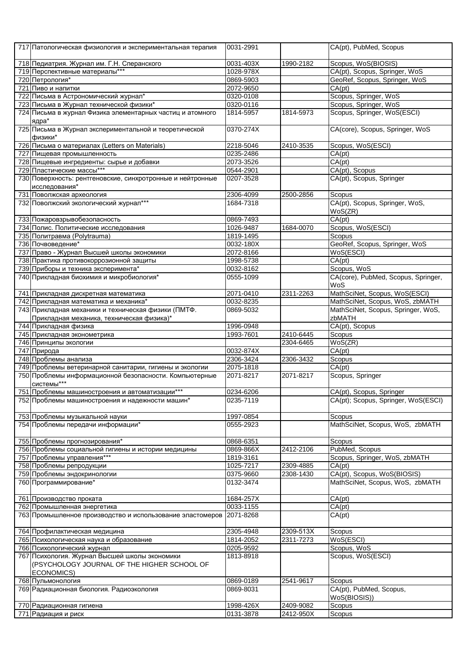| 717 Патологическая физиология и экспериментальная терапия                                        | 0031-2991              |                        | CA(pt), PubMed, Scopus                       |
|--------------------------------------------------------------------------------------------------|------------------------|------------------------|----------------------------------------------|
| 718 Педиатрия. Журнал им. Г.Н. Сперанского                                                       | 0031-403X              | 1990-2182              | Scopus, WoS(BIOSIS)                          |
| 719 Перспективные материалы***                                                                   | 1028-978X              |                        | CA(pt), Scopus, Springer, WoS                |
| 720 Петрология*                                                                                  | 0869-5903              |                        | GeoRef, Scopus, Springer, WoS                |
| 721 Пиво и напитки                                                                               | 2072-9650              |                        | CA(pt)                                       |
| 722 Письма в Астрономический журнал*                                                             | 0320-0108              |                        | Scopus, Springer, WoS                        |
| 723 Письма в Журнал технической физики*                                                          | 0320-0116              |                        | Scopus, Springer, WoS                        |
| 724 Письма в журнал Физика элементарных частиц и атомного<br>ядра*                               | 1814-5957              | 1814-5973              | Scopus, Springer, WoS(ESCI)                  |
| 725 Письма в Журнал экспериментальной и теоретической<br>физики*                                 | 0370-274X              |                        | CA(core), Scopus, Springer, WoS              |
| 726 Письма о материалах (Letters on Materials)                                                   | 2218-5046              | 2410-3535              | Scopus, WoS(ESCI)                            |
| 727 Пищевая промышленность                                                                       | 0235-2486              |                        | CA(pt)                                       |
| 728 Пищевые ингредиенты: сырье и добавки                                                         | 2073-3526              |                        | CA(pt)                                       |
| 729 Пластические массы***                                                                        | 0544-2901              |                        | CA(pt), Scopus                               |
| 730 Поверхность: рентгеновские, синхротронные и нейтронные<br>исследования*                      | 0207-3528              |                        | CA(pt), Scopus, Springer                     |
| 731 Поволжская археология                                                                        | 2306-4099              | 2500-2856              | Scopus                                       |
| 732 Поволжский экологический журнал***                                                           | 1684-7318              |                        | CA(pt), Scopus, Springer, WoS,<br>WoS(ZR)    |
| 733 Пожаровзрывобезопасность                                                                     | 0869-7493              |                        | CA(pt)                                       |
| 734 Полис. Политические исследования                                                             | 1026-9487              | 1684-0070              | Scopus, WoS(ESCI)                            |
| 735 Политравма (Polytrauma)                                                                      | 1819-1495              |                        | Scopus                                       |
| 736 Почвоведение*                                                                                | 0032-180X              |                        | GeoRef, Scopus, Springer, WoS                |
| 737 Право - Журнал Высшей школы экономики                                                        | 2072-8166              |                        | WoS(ESCI)                                    |
| 738 Практика противокоррозионной защиты                                                          | 1998-5738              |                        | CA(pt)                                       |
| 739 Приборы и техника эксперимента*                                                              | 0032-8162              |                        | Scopus, WoS                                  |
| 740 Прикладная биохимия и микробиология*                                                         | 0555-1099              |                        | CA(core), PubMed, Scopus, Springer,<br>WoS   |
| 741 Прикладная дискретная математика                                                             | 2071-0410              | 2311-2263              | MathSciNet, Scopus, WoS(ESCI)                |
| 742 Прикладная математика и механика*                                                            | 0032-8235              |                        | MathSciNet, Scopus, WoS, zbMATH              |
| 743 Прикладная механики и техническая физики (ПМТФ.<br>Прикладная механика, техническая физика)* | 0869-5032              |                        | MathSciNet, Scopus, Springer, WoS,<br>zbMATH |
| 744 Прикладная физика                                                                            | 1996-0948              |                        | CA(pt), Scopus                               |
| 745 Прикладная эконометрика                                                                      | 1993-7601              | 2410-6445              | Scopus                                       |
| 746 Принципы экологии                                                                            |                        | 2304-6465              | WoS(ZR)                                      |
| 747 Природа                                                                                      | 0032-874X              |                        | CA(pt)                                       |
|                                                                                                  |                        |                        |                                              |
| 748 Проблемы анализа                                                                             | 2306-3424              | 2306-3432              | Scopus                                       |
| 749 Проблемы ветеринарной санитарии, гигиены и экологии                                          | 2075-1818              |                        | CA(pt)                                       |
| 750 Проблемы информационной безопасности. Компьютерные                                           | 2071-8217              | 2071-8217              | Scopus, Springer                             |
| системы***<br>751 Проблемы машиностроения и автоматизации***                                     | 0234-6206              |                        | CA(pt), Scopus, Springer                     |
| 752 Проблемы машиностроения и надежности машин*                                                  | 0235-7119              |                        | CA(pt); Scopus, Springer, WoS(ESCI)          |
|                                                                                                  | 1997-0854              |                        | Scopus                                       |
| 753 Проблемы музыкальной науки<br>754 Проблемы передачи информации*                              | 0555-2923              |                        | MathSciNet, Scopus, WoS, zbMATH              |
| 755 Проблемы прогнозирования*                                                                    | 0868-6351              |                        | Scopus                                       |
| 756 Проблемы социальной гигиены и истории медицины                                               | 0869-866X              | 2412-2106              | PubMed, Scopus                               |
| 757 Проблемы управления***                                                                       | 1819-3161              |                        | Scopus, Springer, WoS, zbMATH                |
| 758 Проблемы репродукции                                                                         | 1025-7217              | 2309-4885              | CA(pt)                                       |
| 759 Проблемы эндокринологии                                                                      | 0375-9660              | 2308-1430              | CA(pt), Scopus, WoS(BIOSIS)                  |
| 760 Программирование*                                                                            | 0132-3474              |                        | MathSciNet, Scopus, WoS, zbMATH              |
| 761 Производство проката                                                                         | 1684-257X              |                        | CA(pt)                                       |
| 762 Промышленная энергетика                                                                      | 0033-1155              |                        | CA(pt)                                       |
| 763 Промышленное производство и использование эластомеров                                        | 2071-8268              |                        | CA(pt)                                       |
| 764 Профилактическая медицина                                                                    | 2305-4948              | 2309-513X              | Scopus                                       |
| 765 Психологическая наука и образование                                                          | 1814-2052              | 2311-7273              | WoS(ESCI)                                    |
| 766 Психологический журнал                                                                       | 0205-9592              |                        | Scopus, WoS                                  |
| 767 Психология. Журнал Высшей школы экономики<br>(PSYCHOLOGY JOURNAL OF THE HIGHER SCHOOL OF     | 1813-8918              |                        | Scopus, WoS(ESCI)                            |
| ECONOMICS)<br>768 Пульмонология                                                                  | 0869-0189              | 2541-9617              | Scopus                                       |
| 769 Радиационная биология. Радиоэкология                                                         | 0869-8031              |                        | CA(pt), PubMed, Scopus,                      |
|                                                                                                  |                        |                        | WoS(BIOSIS))                                 |
| 770 Радиационная гигиена<br>771 Радиация и риск                                                  | 1998-426X<br>0131-3878 | 2409-9082<br>2412-950X | Scopus<br>Scopus                             |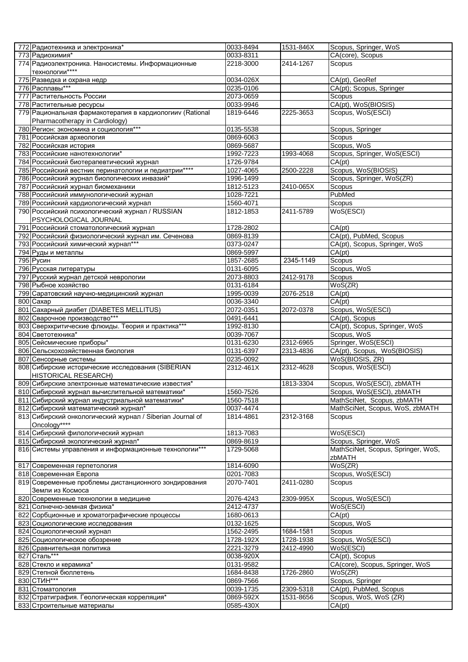| 772 Радиотехника и электроника*                                          | 0033-8494              | 1531-846X | Scopus, Springer, WoS                           |
|--------------------------------------------------------------------------|------------------------|-----------|-------------------------------------------------|
| 773 Радиохимия*                                                          | 0033-8311              |           | CA(core), Scopus                                |
| 774 Радиоэлектроника. Наносистемы. Информационные                        | 2218-3000              | 2414-1267 | Scopus                                          |
| технологии****                                                           |                        |           |                                                 |
| 775 Разведка и охрана недр                                               | 0034-026X              |           | CA(pt), GeoRef                                  |
| 776 Расплавы***                                                          | 0235-0106              |           | CA(pt); Scopus, Springer                        |
| 777 Растительность России                                                | 2073-0659              |           | Scopus                                          |
| 778 Растительные ресурсы                                                 | 0033-9946              |           | CA(pt), WoS(BIOSIS)                             |
| 779 Рациональная фармакотерапия в кардиологии (Rational                  | 1819-6446              | 2225-3653 | Scopus, WoS(ESCI)                               |
| Pharmacotherapy in Cardiology)                                           |                        |           |                                                 |
| 780 Регион: экономика и социология***                                    | 0135-5538              |           | Scopus, Springer                                |
| 781 Российская археология                                                | 0869-6063<br>0869-5687 |           | Scopus<br>Scopus, WoS                           |
| 782 Российская история<br>783 Российские нанотехнологии*                 | 1992-7223              | 1993-4068 | Scopus, Springer, WoS(ESCI)                     |
| 784 Российский биотерапевтический журнал                                 | 1726-9784              |           | CA(pt)                                          |
| 785 Российский вестник перинатологии и педиатрии****                     | 1027-4065              | 2500-2228 | Scopus, WoS(BIOSIS)                             |
| 786 Российский журнал биологических инвазий*                             | 1996-1499              |           | Scopus, Springer, WoS(ZR)                       |
| 787 Российский журнал биомеханики                                        | 1812-5123              | 2410-065X | Scopus                                          |
| 788 Российский иммунологический журнал                                   | 1028-7221              |           | PubMed                                          |
| 789 Российский кардиологический журнал                                   | 1560-4071              |           | Scopus                                          |
| 790 Российский психологический журнал / RUSSIAN                          | 1812-1853              | 2411-5789 | WoS(ESCI)                                       |
| PSYCHOLOGICAL JOURNAL                                                    |                        |           |                                                 |
| 791 Российский стоматологический журнал                                  | 1728-2802              |           | CA(pt)                                          |
| 792 Российский физиологический журнал им. Сеченова                       | 0869-8139              |           | CA(pt), PubMed, Scopus                          |
| 793 Российский химический журнал***                                      | 0373-0247              |           | CA(pt), Scopus, Springer, WoS                   |
| 794 Руды и металлы                                                       | 0869-5997              |           | CA(pt)                                          |
| 795 Русин                                                                | 1857-2685              | 2345-1149 | Scopus                                          |
| 796 Русская литературы                                                   | 0131-6095              |           | Scopus, WoS                                     |
| 797 Русский журнал детской неврологии                                    | 2073-8803              | 2412-9178 | Scopus                                          |
| 798 Рыбное хозяйство                                                     | 0131-6184              |           | WoS(ZR)                                         |
| 799 Саратовский научно-медицинский журнал                                | 1995-0039              | 2076-2518 | CA(pt)                                          |
| 800 Caxap                                                                | 0036-3340              |           | CA(pt)                                          |
| 801 Сахарный диабет (DIABETES MELLITUS)<br>802 Сварочное производство*** | 2072-0351              | 2072-0378 | Scopus, WoS(ESCI)                               |
| 803 Сверхкритические флюиды. Теория и практика***                        | 0491-6441<br>1992-8130 |           | CA(pt), Scopus<br>CA(pt), Scopus, Springer, WoS |
| 804 Светотехника*                                                        | 0039-7067              |           | Scopus, WoS                                     |
| 805 Сейсмические приборы*                                                | 0131-6230              | 2312-6965 | Springer, WoS(ESCI)                             |
| 806 Сельскохозяйственная биология                                        | 0131-6397              | 2313-4836 | CA(pt), Scopus, WoS(BIOSIS)                     |
| 807 Сенсорные системы                                                    | 0235-0092              |           | WoS(BIOSIS, ZR)                                 |
| 808 Сибирские исторические исследования (SIBERIAN                        | 2312-461X              | 2312-4628 | Scopus, WoS(ESCI)                               |
| HISTORICAL RESEARCH)                                                     |                        |           |                                                 |
| 809 Сибирские электронные математические известия*                       |                        | 1813-3304 | Scopus, WoS(ESCI), zbMATH                       |
| 810 Сибирский журнал вычислительной математики*                          | 1560-7526              |           | Scopus, WoS(ESCI), zbMATH                       |
| 811 Сибирский журнал индустриальной математики*                          | 1560-7518              |           | MathSciNet, Scopus, zbMATH                      |
| 812 Сибирский математический журнал*                                     | 0037-4474              |           | MathSciNet, Scopus, WoS, zbMATH                 |
| 813 Сибирский онкологический журнал / Siberian Journal of                | 1814-4861              | 2312-3168 | Scopus                                          |
| Oncology****                                                             |                        |           |                                                 |
| 814 Сибирский филологический журнал                                      | 1813-7083              |           | WoS(ESCI)                                       |
| 815 Сибирский экологический журнал*                                      | 0869-8619              |           | Scopus, Springer, WoS                           |
| 816 Системы управления и информационные технологии***                    | 1729-5068              |           | MathSciNet, Scopus, Springer, WoS,              |
|                                                                          |                        |           | zbMATH                                          |
| 817 Современная герпетология<br>818 Современная Европа                   | 1814-6090<br>0201-7083 |           | WoS(ZR)<br>Scopus, WoS(ESCI)                    |
|                                                                          |                        |           |                                                 |
| 819 Современные проблемы дистанционного зондирования<br>Земли из Космоса | 2070-7401              | 2411-0280 | Scopus                                          |
| 820 Современные технологии в медицине                                    | 2076-4243              | 2309-995X | Scopus, WoS(ESCI)                               |
| 821 Солнечно-земная физика*                                              | 2412-4737              |           | WoS(ESCI)                                       |
| 822 Сорбционные и хроматографические процессы                            | 1680-0613              |           | CA(pt)                                          |
| 823 Социологические исследования                                         | 0132-1625              |           | Scopus, WoS                                     |
| 824 Социологический журнал                                               | 1562-2495              | 1684-1581 | Scopus                                          |
| 825 Социологическое обозрение                                            | 1728-192X              | 1728-1938 | Scopus, WoS(ESCI)                               |
| 826 Сравнительная политика                                               | 2221-3279              | 2412-4990 | WoS(ESCI)                                       |
| 827 Сталь***                                                             | 0038-920X              |           | CA(pt), Scopus                                  |
| 828 Стекло и керамика*                                                   | 0131-9582              |           | CA(core), Scopus, Springer, WoS                 |
| 829 Степной бюллетень                                                    | 1684-8438              | 1726-2860 | WoS(ZR)                                         |
| 830 CTMH***                                                              | 0869-7566              |           | Scopus, Springer                                |
| 831 Стоматология                                                         | 0039-1735              | 2309-5318 | CA(pt), PubMed, Scopus                          |
| 832 Стратиграфия. Геологическая корреляция*                              | 0869-592X              | 1531-8656 | Scopus, WoS, WoS (ZR)                           |
| 833 Строительные материалы                                               | 0585-430X              |           | CA(pt)                                          |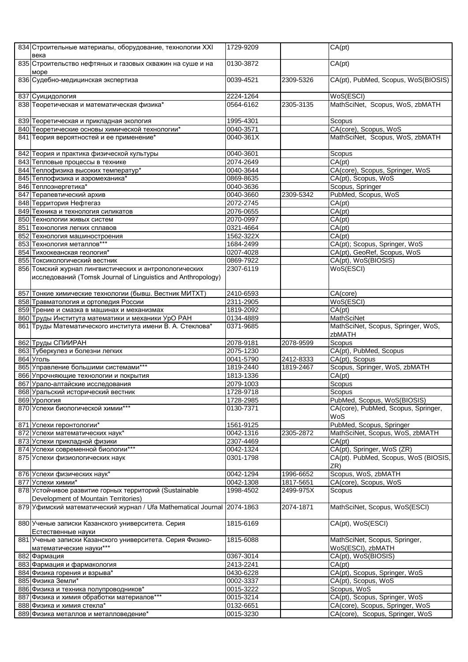| 834 Строительные материалы, оборудование, технологии XXI<br>века                                                       | 1729-9209               |           | CA(pt)                                             |
|------------------------------------------------------------------------------------------------------------------------|-------------------------|-----------|----------------------------------------------------|
| 835 Строительство нефтяных и газовых скважин на суше и на<br>море                                                      | 0130-3872               |           | CA(pt)                                             |
| 836 Судебно-медицинская экспертиза                                                                                     | 0039-4521               | 2309-5326 | CA(pt), PubMed, Scopus, WoS(BIOSIS)                |
| 837 Суицидология                                                                                                       | 2224-1264               |           | WoS(ESCI)                                          |
| 838 Теоретическая и математическая физика*                                                                             | 0564-6162               | 2305-3135 | MathSciNet, Scopus, WoS, zbMATH                    |
| 839 Теоретическая и прикладная экология                                                                                | 1995-4301               |           | Scopus                                             |
| 840 Теоретические основы химической технологии*                                                                        | 0040-3571               |           | CA(core), Scopus, WoS                              |
| 841 Теория вероятностей и ее применение*                                                                               | 0040-361X               |           | MathSciNet, Scopus, WoS, zbMATH                    |
| 842 Теория и практика физической культуры                                                                              | 0040-3601               |           | Scopus                                             |
| 843 Тепловые процессы в технике                                                                                        | 2074-2649               |           | CA(pt)                                             |
| 844 Теплофизика высоких температур*                                                                                    | 0040-3644               |           | CA(core), Scopus, Springer, WoS                    |
| 845 Теплофизика и аэромеханика*                                                                                        | 0869-8635               |           | CA(pt), Scopus, WoS                                |
| 846 Теплоэнергетика*                                                                                                   | 0040-3636               |           | Scopus, Springer                                   |
| 847 Терапевтический архив                                                                                              | 0040-3660               | 2309-5342 | PubMed, Scopus, WoS                                |
| 848 Территория Нефтегаз                                                                                                | 2072-2745               |           | CA(pt)                                             |
| 849 Техника и технология силикатов                                                                                     | 2076-0655               |           | CA(pt)                                             |
| 850 Технологии живых систем                                                                                            | 2070-0997               |           | CA(pt)                                             |
| 851 Технология легких сплавов                                                                                          | 0321-4664               |           | CA(pt)                                             |
| 852 Технология машиностроения                                                                                          | 1562-322X               |           | CA(pt)                                             |
| 853 Технология металлов***                                                                                             | 1684-2499               |           | CA(pt); Scopus, Springer, WoS                      |
| 854 Тихоокеанская геология*                                                                                            | 0207-4028               |           | CA(pt), GeoRef, Scopus, WoS                        |
| 855 Токсикологический вестник                                                                                          | 0869-7922               |           | CA(pt), WoS(BIOSIS)                                |
| 856 Томский журнал лингвистических и антропологических<br>исследований (Tomsk Journal of Linguistics and Anthropology) | 2307-6119               |           | WoS(ESCI)                                          |
| 857 Тонкие химические технологии (бывш. Вестник МИТХТ)                                                                 | 2410-6593               |           | CA(core)                                           |
| 858 Травматология и ортопедия России                                                                                   | 2311-2905               |           | WoS(ESCI)                                          |
| 859 Трение и смазка в машинах и механизмах                                                                             | 1819-2092               |           | CA(pt)                                             |
| 860 Труды Института математики и механики УрО РАН                                                                      | 0134-4889               |           | MathSciNet                                         |
| 861 Труды Математического института имени В. А. Стеклова*                                                              | 0371-9685               |           | MathSciNet, Scopus, Springer, WoS,                 |
|                                                                                                                        |                         |           | zbMATH                                             |
| 862 Труды СПИИРАН                                                                                                      | 2078-9181               | 2078-9599 | Scopus                                             |
| 863 Туберкулез и болезни легких                                                                                        | 2075-1230               |           | CA(pt), PubMed, Scopus                             |
| 864 Уголь                                                                                                              | 0041-5790               | 2412-8333 | CA(pt), Scopus                                     |
| 865 Управление большими системами***                                                                                   | 1819-2440               | 1819-2467 | Scopus, Springer, WoS, zbMATH                      |
| 866 Упрочняющие технологии и покрытия                                                                                  | 1813-1336               |           | CA(pt)                                             |
| 867 Урало-алтайские исследования                                                                                       | 2079-1003               |           | Scopus                                             |
| 868 Уральский исторический вестник                                                                                     | 1728-9718               |           | Scopus                                             |
| 869 Урология                                                                                                           | 1728-2985               |           | PubMed, Scopus, WoS(BIOSIS)                        |
| 870 Успехи биологической химии***                                                                                      | 0130-7371               |           | CA(core), PubMed, Scopus, Springer,<br>WoS         |
| 871 Успехи геронтологии*                                                                                               | 1561-9125               |           | PubMed, Scopus, Springer                           |
| 872 Успехи математических наук*                                                                                        | 0042-1316               | 2305-2872 | MathSciNet, Scopus, WoS, zbMATH                    |
| 873 Успехи прикладной физики                                                                                           | 2307-4469               |           | CA(pt)                                             |
| 874 Успехи современной биологии***                                                                                     | $\overline{00}$ 42-1324 |           | CA(pt), Springer, WoS (ZR)                         |
| 875 Успехи физиологических наук                                                                                        | 0301-1798               |           | CA(pt). PubMed, Scopus, WoS (BIOSIS,               |
|                                                                                                                        |                         |           | ZR)                                                |
| 876 Успехи физических наук*                                                                                            | 0042-1294               | 1996-6652 | Scopus, WoS, zbMATH                                |
| 877 Успехи химии*                                                                                                      | 0042-1308               | 1817-5651 | CA(core), Scopus, WoS                              |
| 878 Устойчивое развитие горных территорий (Sustainable<br>Development of Mountain Territories)                         | 1998-4502               | 2499-975X | Scopus                                             |
| 879 Уфимский математический журнал / Ufa Mathematical Journal 2074-1863                                                |                         | 2074-1871 | MathSciNet, Scopus, WoS(ESCI)                      |
| 880 Ученые записки Казанского университета. Серия<br>Естественные науки                                                | 1815-6169               |           | CA(pt), WoS(ESCI)                                  |
| 881 Ученые записки Казанского университета. Серия Физико-<br>математические науки***                                   | 1815-6088               |           | MathSciNet, Scopus, Springer,<br>WoS(ESCI), zbMATH |
| 882 Фармация                                                                                                           | 0367-3014               |           | CA(pt), WoS(BIOSIS)                                |
| 883 Фармация и фармакология                                                                                            | 2413-2241               |           | CA(pt)                                             |
| 884 Физика горения и взрыва*                                                                                           | 0430-6228               |           | CA(pt), Scopus, Springer, WoS                      |
| 885 Физика Земли*                                                                                                      | 0002-3337               |           | CA(pt), Scopus, WoS                                |
| 886 Физика и техника полупроводников*                                                                                  | 0015-3222               |           | Scopus, WoS                                        |
| 887 Физика и химия обработки материалов***                                                                             | 0015-3214               |           | CA(pt), Scopus, Springer, WoS                      |
| 888 Физика и химия стекла*                                                                                             | 0132-6651               |           | CA(core), Scopus, Springer, WoS                    |
| 889 Физика металлов и металловедение*                                                                                  | 0015-3230               |           | CA(core), Scopus, Springer, WoS                    |
|                                                                                                                        |                         |           |                                                    |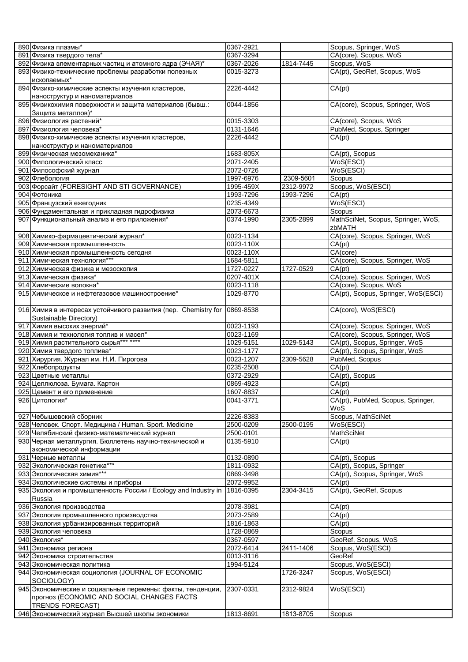| 890 Физика плазмы*                                                         | 0367-2921               |           | Scopus, Springer, WoS               |
|----------------------------------------------------------------------------|-------------------------|-----------|-------------------------------------|
| 891 Физика твердого тела*                                                  | 0367-3294               |           | CA(core), Scopus, WoS               |
| 892 Физика элементарных частиц и атомного ядра (ЭЧАЯ)*                     | 0367-2026               | 1814-7445 | Scopus, WoS                         |
| 893 Физико-технические проблемы разработки полезных                        | 0015-3273               |           | CA(pt), GeoRef, Scopus, WoS         |
| ископаемых*                                                                |                         |           |                                     |
| 894 Физико-химические аспекты изучения кластеров,                          | 2226-4442               |           | CA(pt)                              |
|                                                                            |                         |           |                                     |
| наноструктур и наноматериалов                                              |                         |           |                                     |
| 895 Физикохимия поверхности и защита материалов (бывш.:                    | 0044-1856               |           | CA(core), Scopus, Springer, WoS     |
| Защита металлов)*                                                          |                         |           |                                     |
| 896 Физиология растений*                                                   | 0015-3303               |           | CA(core), Scopus, WoS               |
| 897 Физиология человека*                                                   | 0131-1646               |           | PubMed, Scopus, Springer            |
| 898 Физико-химические аспекты изучения кластеров,                          | 2226-4442               |           | CA(pt)                              |
| наноструктур и наноматериалов                                              |                         |           |                                     |
| 899 Физическая мезомеханика*                                               | 1683-805X               |           | CA(pt), Scopus                      |
| 900 Филологический класс                                                   | 2071-2405               |           | WoS(ESCI)                           |
| 901 Философский журнал                                                     | 2072-0726               |           | WoS(ESCI)                           |
| 902 Флебология                                                             | 1997-6976               | 2309-5601 | Scopus                              |
| 903 Форсайт (FORESIGHT AND STI GOVERNANCE)                                 | 1995-459X               | 2312-9972 | Scopus, WoS(ESCI)                   |
| 904 Фотоника                                                               | 1993-7296               | 1993-7296 | CA(pt)                              |
| 905 Французский ежегодник                                                  | 0235-4349               |           | WoS(ESCI)                           |
|                                                                            |                         |           |                                     |
| 906 Фундаментальная и прикладная гидрофизика                               | 2073-6673               |           | Scopus                              |
| 907 Функциональный анализ и его приложения*                                | 0374-1990               | 2305-2899 | MathSciNet, Scopus, Springer, WoS,  |
|                                                                            |                         |           | zbMATH                              |
| 908 Химико-фармацевтический журнал*                                        | 0023-1134               |           | CA(core), Scopus, Springer, WoS     |
| 909 Химическая промышленность                                              | 0023-110X               |           | CA(pt)                              |
| 910 Химическая промышленность сегодня                                      | 0023-110X               |           | CA(core)                            |
| 911 Химическая технология***                                               | 1684-5811               |           | CA(core), Scopus, Springer, WoS     |
| 912 Химическая физика и мезоскопия                                         | 1727-0227               | 1727-0529 | CA(pt)                              |
| 913 Химическая физика*                                                     | 0207-401X               |           | CA(core), Scopus, Springer, WoS     |
| 914 Химические волокна*                                                    | 0023-1118               |           | CA(core), Scopus, WoS               |
| 915 Химическое и нефтегазовое машиностроение*                              | 1029-8770               |           | CA(pt), Scopus, Springer, WoS(ESCI) |
|                                                                            |                         |           |                                     |
| 916 Химия в интересах устойчивого развития (пер. Chemistry for             | 0869-8538               |           | CA(core), WoS(ESCI)                 |
|                                                                            |                         |           |                                     |
| Sustainable Directory)                                                     |                         |           |                                     |
| 917 Химия высоких энергий*                                                 | 0023-1193               |           | CA(core), Scopus, Springer, WoS     |
|                                                                            |                         |           |                                     |
| 918 Химия и технология топлив и масел*                                     | 0023-1169               |           | CA(core), Scopus, Springer, WoS     |
| 919 Химия растительного сырья*** ****                                      | 1029-5151               | 1029-5143 | CA(pt), Scopus, Springer, WoS       |
| 920 Химия твердого топлива*                                                | 0023-1177               |           | CA(pt), Scopus, Springer, WoS       |
| 921 Хирургия. Журнал им. Н.И. Пирогова                                     | 0023-1207               | 2309-5628 | PubMed, Scopus                      |
| 922 Хлебопродукты                                                          | 0235-2508               |           | CA(pt)                              |
| 923 Цветные металлы                                                        | 0372-2929               |           | CA(pt), Scopus                      |
| 924 Целлюлоза. Бумага. Картон                                              | 0869-4923               |           | CA(pt)                              |
|                                                                            |                         |           |                                     |
| 925 Цемент и его применение                                                | 1607-8837               |           | CA(pt)                              |
| 926 Цитология*                                                             | 0041-3771               |           | CA(pt), PubMed, Scopus, Springer,   |
|                                                                            |                         |           | WoS                                 |
| 927 Чебышевский сборник                                                    | 2226-8383               |           | Scopus, MathSciNet                  |
| 928 Человек. Спорт. Медицина / Human. Sport. Medicine                      | 2500-0209               | 2500-0195 | WoS(ESCI)                           |
| 929 Челябинский физико-математический журнал                               | 2500-0101               |           | <b>MathSciNet</b>                   |
| 930 Черная металлургия. Бюллетень научно-технической и                     | 0135-5910               |           | CA(pt)                              |
| экономической информации                                                   |                         |           |                                     |
| 931 Черные металлы                                                         | 0132-0890               |           | CA(pt), Scopus                      |
| 932 Экологическая генетика***                                              | 1811-0932               |           | CA(pt), Scopus, Springer            |
| 933 Экологическая химия***                                                 | 0869-3498               |           | CA(pt), Scopus, Springer, WoS       |
| 934 Экологические системы и приборы                                        | 2072-9952               |           | CA(pt)                              |
| 935 Экология и промышленность России / Ecology and Industry in             | 1816-0395               | 2304-3415 | CA(pt), GeoRef, Scopus              |
| Russia                                                                     |                         |           |                                     |
|                                                                            |                         |           |                                     |
| 936 Экология производства                                                  | 2078-3981               |           | CA(pt)                              |
| 937 Экология промышленного производства                                    | 2073-2589               |           | CA(pt)                              |
| 938 Экология урбанизированных территорий                                   | 1816-1863               |           | CA(pt)                              |
| 939 Экология человека                                                      | 1728-0869               |           | Scopus                              |
| 940 Экология*                                                              | 0367-0597               |           | GeoRef, Scopus, WoS                 |
| 941 Экономика региона                                                      | 2072-6414               | 2411-1406 | Scopus, WoS(ESCI)                   |
| 942 Экономика строительства                                                | $\overline{00}$ 13-3116 |           | GeoRef                              |
| 943 Экономическая политика                                                 | 1994-5124               |           | Scopus, WoS(ESCI)                   |
| 944 Экономическая социология (JOURNAL OF ECONOMIC                          |                         | 1726-3247 | Scopus, WoS(ESCI)                   |
| SOCIOLOGY)                                                                 |                         |           |                                     |
| 945 Экономические и социальные перемены: факты, тенденции,                 | 2307-0331               | 2312-9824 | WoS(ESCI)                           |
| прогноз (ECONOMIC AND SOCIAL CHANGES FACTS                                 |                         |           |                                     |
| <b>TRENDS FORECAST)</b><br>946 Экономический журнал Высшей школы экономики | 1813-8691               | 1813-8705 | Scopus                              |